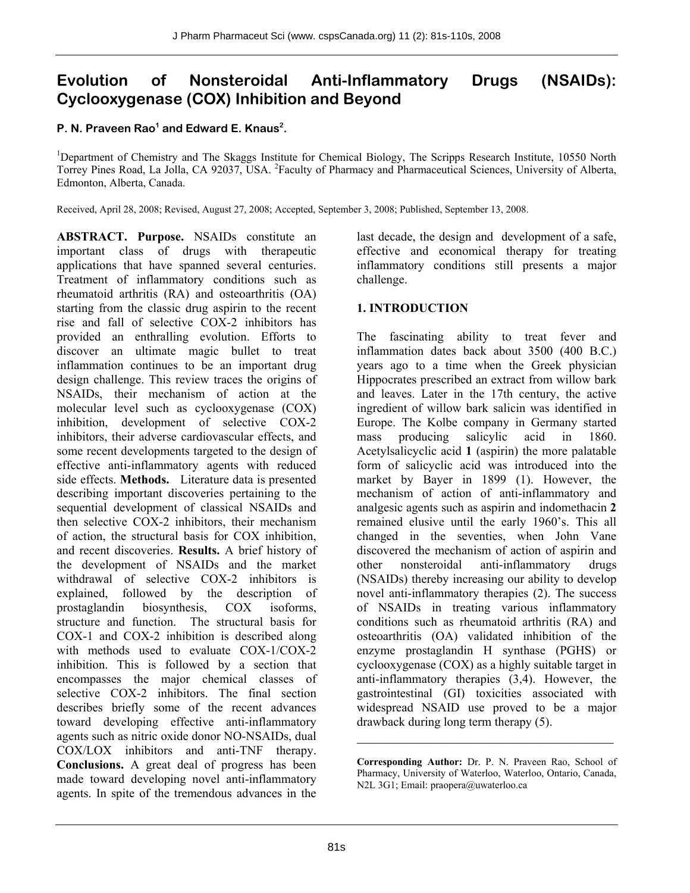# **Evolution of Nonsteroidal Anti-Inflammatory Drugs (NSAIDs): Cyclooxygenase (COX) Inhibition and Beyond**

### P. N. Praveen Rao<sup>1</sup> and Edward E. Knaus<sup>2</sup>.

<sup>1</sup>Department of Chemistry and The Skaggs Institute for Chemical Biology, The Scripps Research Institute, 10550 North Torrey Pines Road, La Jolla, CA 92037, USA. <sup>2</sup> Faculty of Pharmacy and Pharmaceutical Sciences, University of Alberta, Edmonton, Alberta, Canada.

Received, April 28, 2008; Revised, August 27, 2008; Accepted, September 3, 2008; Published, September 13, 2008.

**ABSTRACT. Purpose.** NSAIDs constitute an important class of drugs with therapeutic applications that have spanned several centuries. Treatment of inflammatory conditions such as rheumatoid arthritis (RA) and osteoarthritis (OA) starting from the classic drug aspirin to the recent rise and fall of selective COX-2 inhibitors has provided an enthralling evolution. Efforts to discover an ultimate magic bullet to treat inflammation continues to be an important drug design challenge. This review traces the origins of NSAIDs, their mechanism of action at the molecular level such as cyclooxygenase (COX) inhibition, development of selective COX-2 inhibitors, their adverse cardiovascular effects, and some recent developments targeted to the design of effective anti-inflammatory agents with reduced side effects. **Methods.** Literature data is presented describing important discoveries pertaining to the sequential development of classical NSAIDs and then selective COX-2 inhibitors, their mechanism of action, the structural basis for COX inhibition, and recent discoveries. **Results.** A brief history of the development of NSAIDs and the market withdrawal of selective COX-2 inhibitors is explained, followed by the description of prostaglandin biosynthesis, COX isoforms, structure and function. The structural basis for COX-1 and COX-2 inhibition is described along with methods used to evaluate COX-1/COX-2 inhibition. This is followed by a section that encompasses the major chemical classes of selective COX-2 inhibitors. The final section describes briefly some of the recent advances toward developing effective anti-inflammatory agents such as nitric oxide donor NO-NSAIDs, dual COX/LOX inhibitors and anti-TNF therapy. **Conclusions.** A great deal of progress has been made toward developing novel anti-inflammatory agents. In spite of the tremendous advances in the last decade, the design and development of a safe, effective and economical therapy for treating inflammatory conditions still presents a major challenge.

# **1. INTRODUCTION**

The fascinating ability to treat fever and inflammation dates back about 3500 (400 B.C.) years ago to a time when the Greek physician Hippocrates prescribed an extract from willow bark and leaves. Later in the 17th century, the active ingredient of willow bark salicin was identified in Europe. The Kolbe company in Germany started mass producing salicylic acid in 1860. Acetylsalicyclic acid **1** (aspirin) the more palatable form of salicyclic acid was introduced into the market by Bayer in 1899 (1). However, the mechanism of action of anti-inflammatory and analgesic agents such as aspirin and indomethacin **2** remained elusive until the early 1960's. This all changed in the seventies, when John Vane discovered the mechanism of action of aspirin and other nonsteroidal anti-inflammatory drugs (NSAIDs) thereby increasing our ability to develop novel anti-inflammatory therapies (2). The success of NSAIDs in treating various inflammatory conditions such as rheumatoid arthritis (RA) and osteoarthritis (OA) validated inhibition of the enzyme prostaglandin H synthase (PGHS) or cyclooxygenase (COX) as a highly suitable target in anti-inflammatory therapies (3,4). However, the gastrointestinal (GI) toxicities associated with widespread NSAID use proved to be a major drawback during long term therapy (5).

\_\_\_\_\_\_\_\_\_\_\_\_\_\_\_\_\_\_\_\_\_\_\_\_\_\_\_\_\_\_\_\_\_\_\_\_\_\_

**Corresponding Author:** Dr. P. N. Praveen Rao, School of Pharmacy, University of Waterloo, Waterloo, Ontario, Canada, N2L 3G1; Email: praopera@uwaterloo.ca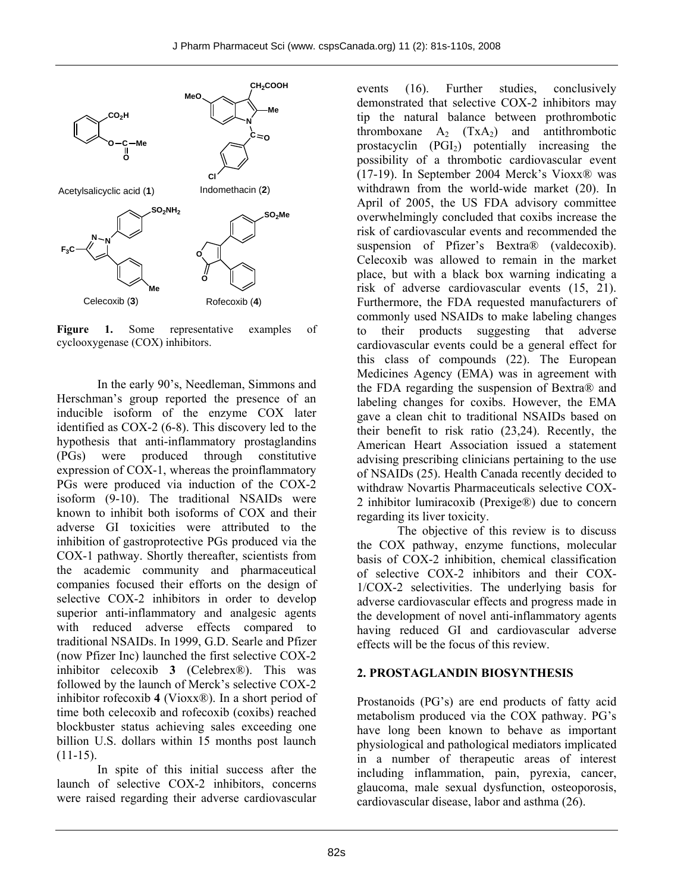

Figure 1. Some representative examples of cyclooxygenase (COX) inhibitors.

In the early 90's, Needleman, Simmons and Herschman's group reported the presence of an inducible isoform of the enzyme COX later identified as COX-2 (6-8). This discovery led to the hypothesis that anti-inflammatory prostaglandins (PGs) were produced through constitutive expression of COX-1, whereas the proinflammatory PGs were produced via induction of the COX-2 isoform (9-10). The traditional NSAIDs were known to inhibit both isoforms of COX and their adverse GI toxicities were attributed to the inhibition of gastroprotective PGs produced via the COX-1 pathway. Shortly thereafter, scientists from the academic community and pharmaceutical companies focused their efforts on the design of selective COX-2 inhibitors in order to develop superior anti-inflammatory and analgesic agents with reduced adverse effects compared to traditional NSAIDs. In 1999, G.D. Searle and Pfizer (now Pfizer Inc) launched the first selective COX-2 inhibitor celecoxib **3** (Celebrex®). This was followed by the launch of Merck's selective COX-2 inhibitor rofecoxib **4** (Vioxx®). In a short period of time both celecoxib and rofecoxib (coxibs) reached blockbuster status achieving sales exceeding one billion U.S. dollars within 15 months post launch  $(11-15)$ .

In spite of this initial success after the launch of selective COX-2 inhibitors, concerns were raised regarding their adverse cardiovascular

events (16). Further studies, conclusively demonstrated that selective COX-2 inhibitors may tip the natural balance between prothrombotic thromboxane  $A_2$  (TxA<sub>2</sub>) and antithrombotic prostacyclin  $(PGI<sub>2</sub>)$  potentially increasing the possibility of a thrombotic cardiovascular event (17-19). In September 2004 Merck's Vioxx® was withdrawn from the world-wide market (20). In April of 2005, the US FDA advisory committee overwhelmingly concluded that coxibs increase the risk of cardiovascular events and recommended the suspension of Pfizer's Bextra® (valdecoxib). Celecoxib was allowed to remain in the market place, but with a black box warning indicating a risk of adverse cardiovascular events (15, 21). Furthermore, the FDA requested manufacturers of commonly used NSAIDs to make labeling changes to their products suggesting that adverse cardiovascular events could be a general effect for this class of compounds (22). The European Medicines Agency (EMA) was in agreement with the FDA regarding the suspension of Bextra® and labeling changes for coxibs. However, the EMA gave a clean chit to traditional NSAIDs based on their benefit to risk ratio (23,24). Recently, the American Heart Association issued a statement advising prescribing clinicians pertaining to the use of NSAIDs (25). Health Canada recently decided to withdraw Novartis Pharmaceuticals selective COX-2 inhibitor lumiracoxib (Prexige®) due to concern regarding its liver toxicity.

The objective of this review is to discuss the COX pathway, enzyme functions, molecular basis of COX-2 inhibition, chemical classification of selective COX-2 inhibitors and their COX-1/COX-2 selectivities. The underlying basis for adverse cardiovascular effects and progress made in the development of novel anti-inflammatory agents having reduced GI and cardiovascular adverse effects will be the focus of this review.

#### **2. PROSTAGLANDIN BIOSYNTHESIS**

Prostanoids (PG's) are end products of fatty acid metabolism produced via the COX pathway. PG's have long been known to behave as important physiological and pathological mediators implicated in a number of therapeutic areas of interest including inflammation, pain, pyrexia, cancer, glaucoma, male sexual dysfunction, osteoporosis, cardiovascular disease, labor and asthma (26).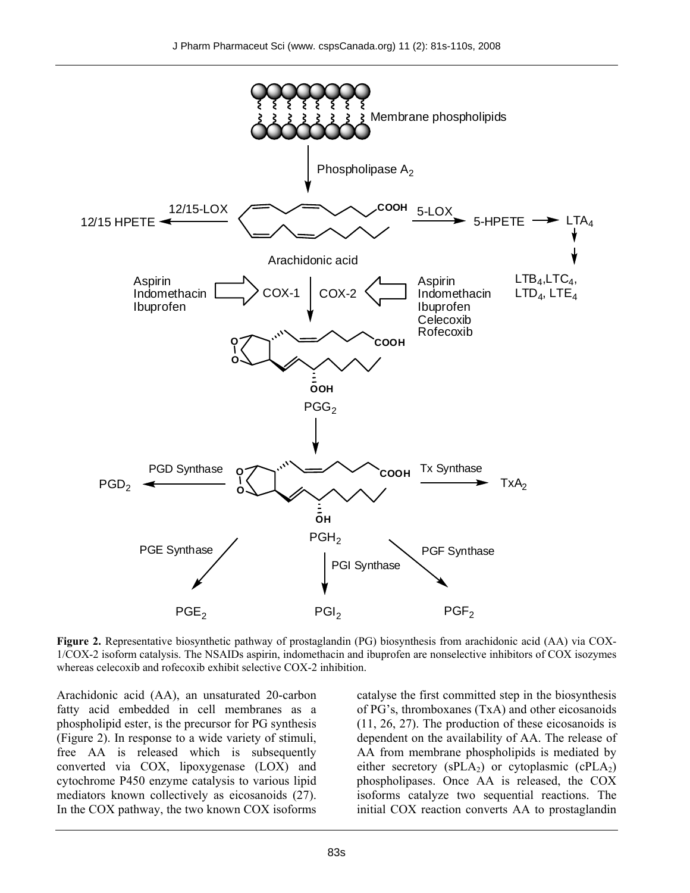

**Figure 2.** Representative biosynthetic pathway of prostaglandin (PG) biosynthesis from arachidonic acid (AA) via COX-1/COX-2 isoform catalysis. The NSAIDs aspirin, indomethacin and ibuprofen are nonselective inhibitors of COX isozymes whereas celecoxib and rofecoxib exhibit selective COX-2 inhibition.

Arachidonic acid (AA), an unsaturated 20-carbon fatty acid embedded in cell membranes as a phospholipid ester, is the precursor for PG synthesis (Figure 2). In response to a wide variety of stimuli, free AA is released which is subsequently converted via COX, lipoxygenase (LOX) and cytochrome P450 enzyme catalysis to various lipid mediators known collectively as eicosanoids (27). In the COX pathway, the two known COX isoforms catalyse the first committed step in the biosynthesis of PG's, thromboxanes (TxA) and other eicosanoids (11, 26, 27). The production of these eicosanoids is dependent on the availability of AA. The release of AA from membrane phospholipids is mediated by either secretory ( $sPLA_2$ ) or cytoplasmic ( $cPLA_2$ ) phospholipases. Once AA is released, the COX isoforms catalyze two sequential reactions. The initial COX reaction converts AA to prostaglandin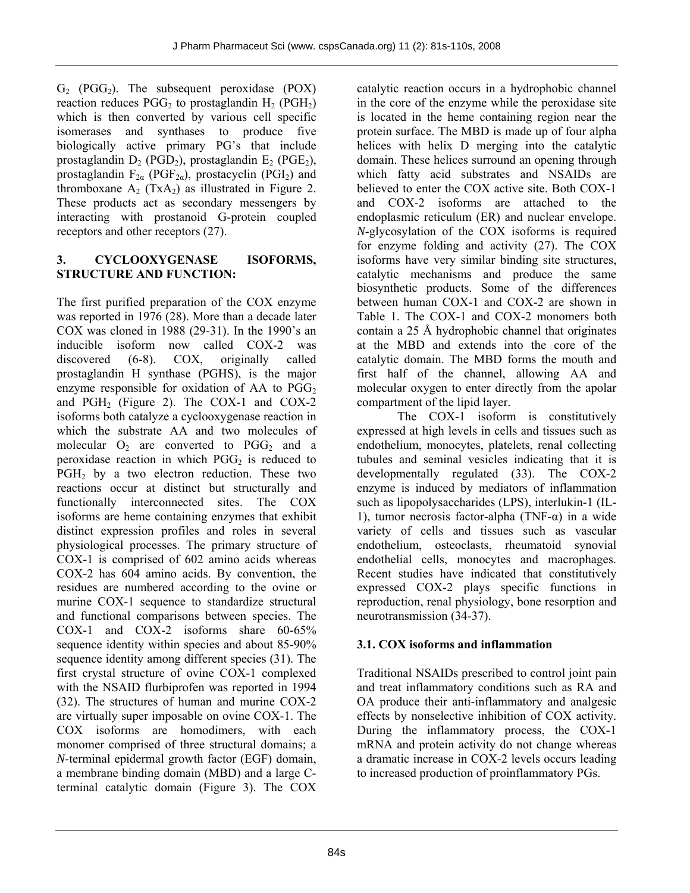$G_2$  (PGG<sub>2</sub>). The subsequent peroxidase (POX) reaction reduces  $PGG_2$  to prostaglandin  $H_2$  (PGH<sub>2</sub>) which is then converted by various cell specific isomerases and synthases to produce five biologically active primary PG's that include prostaglandin  $D_2$  (PGD<sub>2</sub>), prostaglandin  $E_2$  (PGE<sub>2</sub>), prostaglandin  $F_{2\alpha}$  (PGF<sub>2*a*</sub>), prostacyclin (PGI<sub>2</sub>) and thromboxane  $A_2$  (Tx $A_2$ ) as illustrated in Figure 2. These products act as secondary messengers by interacting with prostanoid G-protein coupled receptors and other receptors (27).

# **3. CYCLOOXYGENASE ISOFORMS, STRUCTURE AND FUNCTION:**

The first purified preparation of the COX enzyme was reported in 1976 (28). More than a decade later COX was cloned in 1988 (29-31). In the 1990's an inducible isoform now called COX-2 was discovered (6-8). COX, originally called prostaglandin H synthase (PGHS), is the major enzyme responsible for oxidation of AA to  $PGG_2$ and  $PGH<sub>2</sub>$  (Figure 2). The COX-1 and COX-2 isoforms both catalyze a cyclooxygenase reaction in which the substrate AA and two molecules of molecular  $O_2$  are converted to PGG<sub>2</sub> and a peroxidase reaction in which  $PGG_2$  is reduced to PGH2 by a two electron reduction. These two reactions occur at distinct but structurally and functionally interconnected sites. The COX isoforms are heme containing enzymes that exhibit distinct expression profiles and roles in several physiological processes. The primary structure of COX-1 is comprised of 602 amino acids whereas COX-2 has 604 amino acids. By convention, the residues are numbered according to the ovine or murine COX-1 sequence to standardize structural and functional comparisons between species. The COX-1 and COX-2 isoforms share 60-65% sequence identity within species and about 85-90% sequence identity among different species (31). The first crystal structure of ovine COX-1 complexed with the NSAID flurbiprofen was reported in 1994 (32). The structures of human and murine COX-2 are virtually super imposable on ovine COX-1. The COX isoforms are homodimers, with each monomer comprised of three structural domains; a *N*-terminal epidermal growth factor (EGF) domain, a membrane binding domain (MBD) and a large Cterminal catalytic domain (Figure 3). The COX

catalytic reaction occurs in a hydrophobic channel in the core of the enzyme while the peroxidase site is located in the heme containing region near the protein surface. The MBD is made up of four alpha helices with helix D merging into the catalytic domain. These helices surround an opening through which fatty acid substrates and NSAIDs are believed to enter the COX active site. Both COX-1 and COX-2 isoforms are attached to the endoplasmic reticulum (ER) and nuclear envelope. *N*-glycosylation of the COX isoforms is required for enzyme folding and activity (27). The COX isoforms have very similar binding site structures, catalytic mechanisms and produce the same biosynthetic products. Some of the differences between human COX-1 and COX-2 are shown in Table 1. The COX-1 and COX-2 monomers both contain a 25 Å hydrophobic channel that originates at the MBD and extends into the core of the catalytic domain. The MBD forms the mouth and first half of the channel, allowing AA and molecular oxygen to enter directly from the apolar compartment of the lipid layer.

The COX-1 isoform is constitutively expressed at high levels in cells and tissues such as endothelium, monocytes, platelets, renal collecting tubules and seminal vesicles indicating that it is developmentally regulated (33). The COX-2 enzyme is induced by mediators of inflammation such as lipopolysaccharides (LPS), interlukin-1 (IL-1), tumor necrosis factor-alpha (TNF-α) in a wide variety of cells and tissues such as vascular endothelium, osteoclasts, rheumatoid synovial endothelial cells, monocytes and macrophages. Recent studies have indicated that constitutively expressed COX-2 plays specific functions in reproduction, renal physiology, bone resorption and neurotransmission (34-37).

# **3.1. COX isoforms and inflammation**

Traditional NSAIDs prescribed to control joint pain and treat inflammatory conditions such as RA and OA produce their anti-inflammatory and analgesic effects by nonselective inhibition of COX activity. During the inflammatory process, the COX-1 mRNA and protein activity do not change whereas a dramatic increase in COX-2 levels occurs leading to increased production of proinflammatory PGs.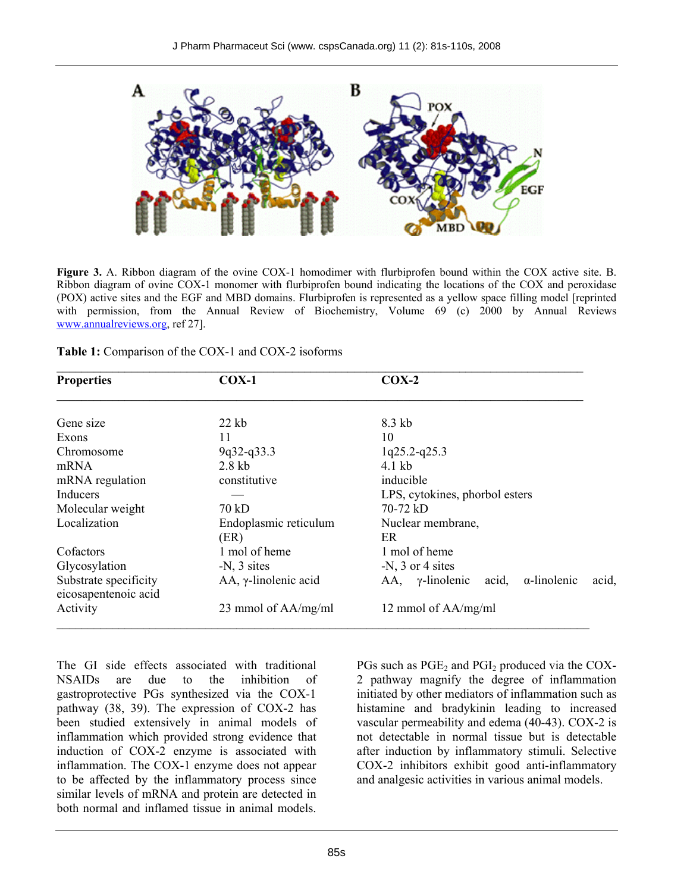

**Figure 3.** A. Ribbon diagram of the ovine COX-1 homodimer with flurbiprofen bound within the COX active site. B. Ribbon diagram of ovine COX-1 monomer with flurbiprofen bound indicating the locations of the COX and peroxidase (POX) active sites and the EGF and MBD domains. Flurbiprofen is represented as a yellow space filling model [reprinted with permission, from the Annual Review of Biochemistry, Volume 69 (c) 2000 by Annual Reviews www.annualreviews.org, ref 27].

|  |  | <b>Table 1:</b> Comparison of the COX-1 and COX-2 isoforms |  |  |
|--|--|------------------------------------------------------------|--|--|
|--|--|------------------------------------------------------------|--|--|

| <b>Properties</b>                             | $COX-1$                         | $COX-2$                                                             |  |  |
|-----------------------------------------------|---------------------------------|---------------------------------------------------------------------|--|--|
| Gene size                                     | $22$ kb                         | 8.3 kb                                                              |  |  |
|                                               |                                 |                                                                     |  |  |
| Exons                                         | 11                              | 10                                                                  |  |  |
| Chromosome                                    | 9q32-q33.3                      | 1q25.2-q25.3                                                        |  |  |
| $2.8$ kb<br>$4.1$ kb<br>mRNA                  |                                 |                                                                     |  |  |
| mRNA regulation                               | constitutive                    | inducible                                                           |  |  |
| Inducers                                      |                                 | LPS, cytokines, phorbol esters                                      |  |  |
| Molecular weight                              | 70 kD                           | $70-72 kD$                                                          |  |  |
| Localization                                  | Endoplasmic reticulum           | Nuclear membrane,                                                   |  |  |
|                                               | (ER)                            | ER                                                                  |  |  |
| Cofactors                                     | 1 mol of heme                   | 1 mol of heme                                                       |  |  |
| Glycosylation                                 | $-N$ , $3$ sites                | $-N$ , 3 or 4 sites                                                 |  |  |
| Substrate specificity<br>eicosapentenoic acid | $AA$ , $\gamma$ -linolenic acid | $AA$ , $\gamma$ -linolenic<br>$\alpha$ -linolenic<br>acid,<br>acid, |  |  |
| Activity                                      | 23 mmol of AA/mg/ml             | 12 mmol of AA/mg/ml                                                 |  |  |
|                                               |                                 |                                                                     |  |  |

The GI side effects associated with traditional NSAIDs are due to the inhibition of gastroprotective PGs synthesized via the COX-1 pathway (38, 39). The expression of COX-2 has been studied extensively in animal models of inflammation which provided strong evidence that induction of COX-2 enzyme is associated with inflammation. The COX-1 enzyme does not appear to be affected by the inflammatory process since similar levels of mRNA and protein are detected in both normal and inflamed tissue in animal models.

PGs such as  $PGE<sub>2</sub>$  and  $PGI<sub>2</sub>$  produced via the COX-2 pathway magnify the degree of inflammation initiated by other mediators of inflammation such as histamine and bradykinin leading to increased vascular permeability and edema (40-43). COX-2 is not detectable in normal tissue but is detectable after induction by inflammatory stimuli. Selective COX-2 inhibitors exhibit good anti-inflammatory and analgesic activities in various animal models.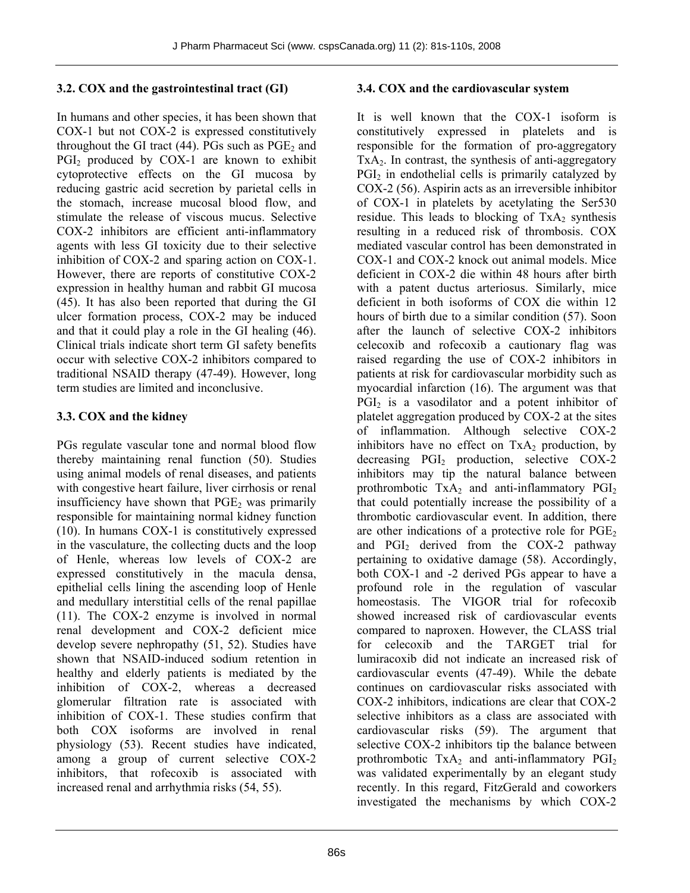# **3.2. COX and the gastrointestinal tract (GI)**

In humans and other species, it has been shown that COX-1 but not COX-2 is expressed constitutively throughout the GI tract  $(44)$ . PGs such as PGE<sub>2</sub> and PGI<sub>2</sub> produced by COX-1 are known to exhibit cytoprotective effects on the GI mucosa by reducing gastric acid secretion by parietal cells in the stomach, increase mucosal blood flow, and stimulate the release of viscous mucus. Selective COX-2 inhibitors are efficient anti-inflammatory agents with less GI toxicity due to their selective inhibition of COX-2 and sparing action on COX-1. However, there are reports of constitutive COX-2 expression in healthy human and rabbit GI mucosa (45). It has also been reported that during the GI ulcer formation process, COX-2 may be induced and that it could play a role in the GI healing (46). Clinical trials indicate short term GI safety benefits occur with selective COX-2 inhibitors compared to traditional NSAID therapy (47-49). However, long term studies are limited and inconclusive.

# **3.3. COX and the kidney**

PGs regulate vascular tone and normal blood flow thereby maintaining renal function (50). Studies using animal models of renal diseases, and patients with congestive heart failure, liver cirrhosis or renal insufficiency have shown that  $PGE<sub>2</sub>$  was primarily responsible for maintaining normal kidney function (10). In humans COX-1 is constitutively expressed in the vasculature, the collecting ducts and the loop of Henle, whereas low levels of COX-2 are expressed constitutively in the macula densa, epithelial cells lining the ascending loop of Henle and medullary interstitial cells of the renal papillae (11). The COX-2 enzyme is involved in normal renal development and COX-2 deficient mice develop severe nephropathy (51, 52). Studies have shown that NSAID-induced sodium retention in healthy and elderly patients is mediated by the inhibition of COX-2, whereas a decreased glomerular filtration rate is associated with inhibition of COX-1. These studies confirm that both COX isoforms are involved in renal physiology (53). Recent studies have indicated, among a group of current selective COX-2 inhibitors, that rofecoxib is associated with increased renal and arrhythmia risks (54, 55).

# **3.4. COX and the cardiovascular system**

It is well known that the COX-1 isoform is constitutively expressed in platelets and is responsible for the formation of pro-aggregatory  $TxA<sub>2</sub>$ . In contrast, the synthesis of anti-aggregatory  $PGI<sub>2</sub>$  in endothelial cells is primarily catalyzed by COX-2 (56). Aspirin acts as an irreversible inhibitor of COX-1 in platelets by acetylating the Ser530 residue. This leads to blocking of  $TxA_2$  synthesis resulting in a reduced risk of thrombosis. COX mediated vascular control has been demonstrated in COX-1 and COX-2 knock out animal models. Mice deficient in COX-2 die within 48 hours after birth with a patent ductus arteriosus. Similarly, mice deficient in both isoforms of COX die within 12 hours of birth due to a similar condition (57). Soon after the launch of selective COX-2 inhibitors celecoxib and rofecoxib a cautionary flag was raised regarding the use of COX-2 inhibitors in patients at risk for cardiovascular morbidity such as myocardial infarction (16). The argument was that PGI<sub>2</sub> is a vasodilator and a potent inhibitor of platelet aggregation produced by COX-2 at the sites of inflammation. Although selective COX-2 inhibitors have no effect on  $TxA_2$  production, by decreasing PGI<sub>2</sub> production, selective COX-2 inhibitors may tip the natural balance between prothrombotic  $TxA_2$  and anti-inflammatory  $PGI_2$ that could potentially increase the possibility of a thrombotic cardiovascular event. In addition, there are other indications of a protective role for  $PGE<sub>2</sub>$ and  $PGI<sub>2</sub>$  derived from the COX-2 pathway pertaining to oxidative damage (58). Accordingly, both COX-1 and -2 derived PGs appear to have a profound role in the regulation of vascular homeostasis. The VIGOR trial for rofecoxib showed increased risk of cardiovascular events compared to naproxen. However, the CLASS trial for celecoxib and the TARGET trial for lumiracoxib did not indicate an increased risk of cardiovascular events (47-49). While the debate continues on cardiovascular risks associated with COX-2 inhibitors, indications are clear that COX-2 selective inhibitors as a class are associated with cardiovascular risks (59). The argument that selective COX-2 inhibitors tip the balance between prothrombotic  $TxA_2$  and anti-inflammatory  $PGI_2$ was validated experimentally by an elegant study recently. In this regard, FitzGerald and coworkers investigated the mechanisms by which COX-2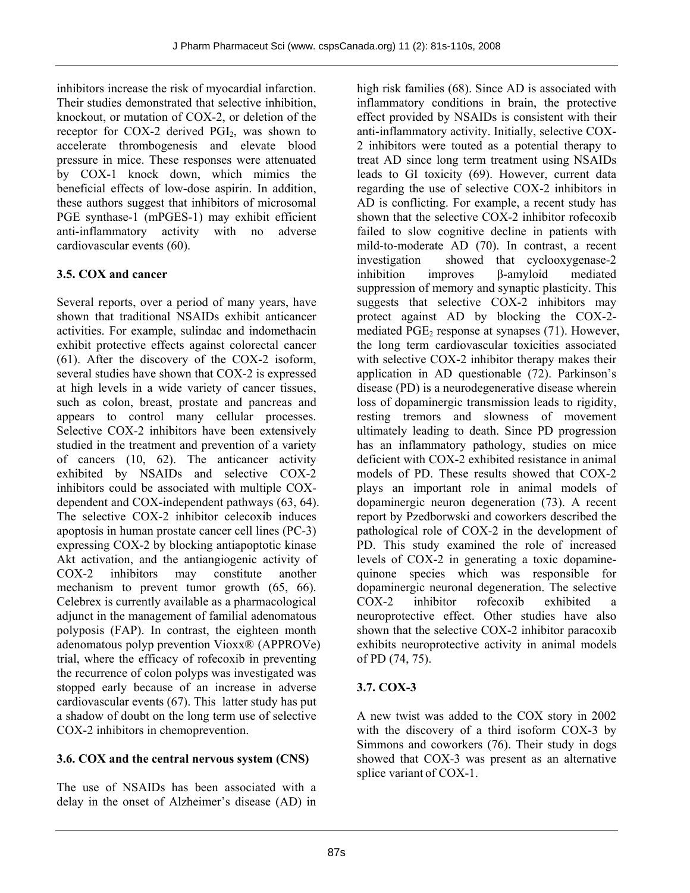inhibitors increase the risk of myocardial infarction. Their studies demonstrated that selective inhibition, knockout, or mutation of COX-2, or deletion of the receptor for  $COX-2$  derived  $PGI<sub>2</sub>$ , was shown to accelerate thrombogenesis and elevate blood pressure in mice. These responses were attenuated by COX-1 knock down, which mimics the beneficial effects of low-dose aspirin. In addition, these authors suggest that inhibitors of microsomal PGE synthase-1 (mPGES-1) may exhibit efficient anti-inflammatory activity with no adverse cardiovascular events (60).

# **3.5. COX and cancer**

Several reports, over a period of many years, have shown that traditional NSAIDs exhibit anticancer activities. For example, sulindac and indomethacin exhibit protective effects against colorectal cancer (61). After the discovery of the COX-2 isoform, several studies have shown that COX-2 is expressed at high levels in a wide variety of cancer tissues, such as colon, breast, prostate and pancreas and appears to control many cellular processes. Selective COX-2 inhibitors have been extensively studied in the treatment and prevention of a variety of cancers (10, 62). The anticancer activity exhibited by NSAIDs and selective COX-2 inhibitors could be associated with multiple COXdependent and COX-independent pathways (63, 64). The selective COX-2 inhibitor celecoxib induces apoptosis in human prostate cancer cell lines (PC-3) expressing COX-2 by blocking antiapoptotic kinase Akt activation, and the antiangiogenic activity of COX-2 inhibitors may constitute another mechanism to prevent tumor growth (65, 66). Celebrex is currently available as a pharmacological adjunct in the management of familial adenomatous polyposis (FAP). In contrast, the eighteen month adenomatous polyp prevention Vioxx® (APPROVe) trial, where the efficacy of rofecoxib in preventing the recurrence of colon polyps was investigated was stopped early because of an increase in adverse cardiovascular events (67). This latter study has put a shadow of doubt on the long term use of selective COX-2 inhibitors in chemoprevention.

# **3.6. COX and the central nervous system (CNS)**

The use of NSAIDs has been associated with a delay in the onset of Alzheimer's disease (AD) in

high risk families (68). Since AD is associated with inflammatory conditions in brain, the protective effect provided by NSAIDs is consistent with their anti-inflammatory activity. Initially, selective COX-2 inhibitors were touted as a potential therapy to treat AD since long term treatment using NSAIDs leads to GI toxicity (69). However, current data regarding the use of selective COX-2 inhibitors in AD is conflicting. For example, a recent study has shown that the selective COX-2 inhibitor rofecoxib failed to slow cognitive decline in patients with mild-to-moderate AD (70). In contrast, a recent investigation showed that cyclooxygenase-2 inhibition improves β-amyloid mediated suppression of memory and synaptic plasticity. This suggests that selective COX-2 inhibitors may protect against AD by blocking the COX-2 mediated  $PGE<sub>2</sub>$  response at synapses (71). However, the long term cardiovascular toxicities associated with selective COX-2 inhibitor therapy makes their application in AD questionable (72). Parkinson's disease (PD) is a neurodegenerative disease wherein loss of dopaminergic transmission leads to rigidity, resting tremors and slowness of movement ultimately leading to death. Since PD progression has an inflammatory pathology, studies on mice deficient with COX-2 exhibited resistance in animal models of PD. These results showed that COX-2 plays an important role in animal models of dopaminergic neuron degeneration (73). A recent report by Pzedborwski and coworkers described the pathological role of COX-2 in the development of PD. This study examined the role of increased levels of COX-2 in generating a toxic dopaminequinone species which was responsible for dopaminergic neuronal degeneration. The selective COX-2 inhibitor rofecoxib exhibited a neuroprotective effect. Other studies have also shown that the selective COX-2 inhibitor paracoxib exhibits neuroprotective activity in animal models of PD (74, 75).

# **3.7. COX-3**

A new twist was added to the COX story in 2002 with the discovery of a third isoform COX-3 by Simmons and coworkers (76). Their study in dogs showed that COX-3 was present as an alternative splice variant of COX-1.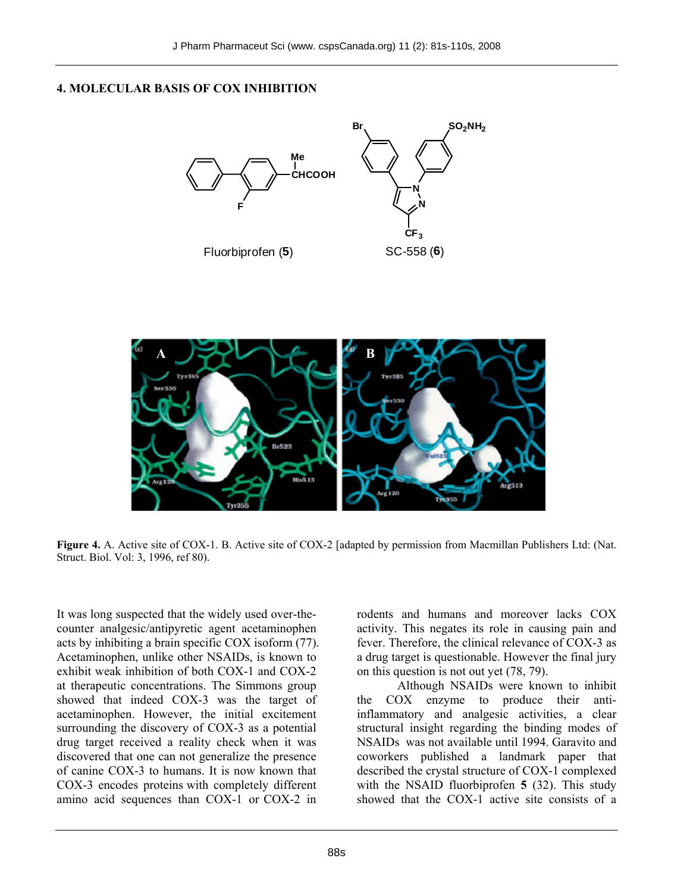#### **4. MOLECULAR BASIS OF COX INHIBITION**





**Figure 4.** A. Active site of COX-1. B. Active site of COX-2 [adapted by permission from Macmillan Publishers Ltd: (Nat. Struct. Biol. Vol: 3, 1996, ref 80).

It was long suspected that the widely used over-thecounter analgesic/antipyretic agent acetaminophen acts by inhibiting a brain specific COX isoform (77). Acetaminophen, unlike other NSAIDs, is known to exhibit weak inhibition of both COX-1 and COX-2 at therapeutic concentrations. The Simmons group showed that indeed COX-3 was the target of acetaminophen. However, the initial excitement surrounding the discovery of COX-3 as a potential drug target received a reality check when it was discovered that one can not generalize the presence of canine COX-3 to humans. It is now known that COX-3 encodes proteins with completely different amino acid sequences than COX-1 or COX-2 in

rodents and humans and moreover lacks COX activity. This negates its role in causing pain and fever. Therefore, the clinical relevance of COX-3 as a drug target is questionable. However the final jury on this question is not out yet (78, 79).

Although NSAIDs were known to inhibit the COX enzyme to produce their antiinflammatory and analgesic activities, a clear structural insight regarding the binding modes of NSAIDs was not available until 1994. Garavito and coworkers published a landmark paper that described the crystal structure of COX-1 complexed with the NSAID fluorbiprofen **5** (32). This study showed that the COX-1 active site consists of a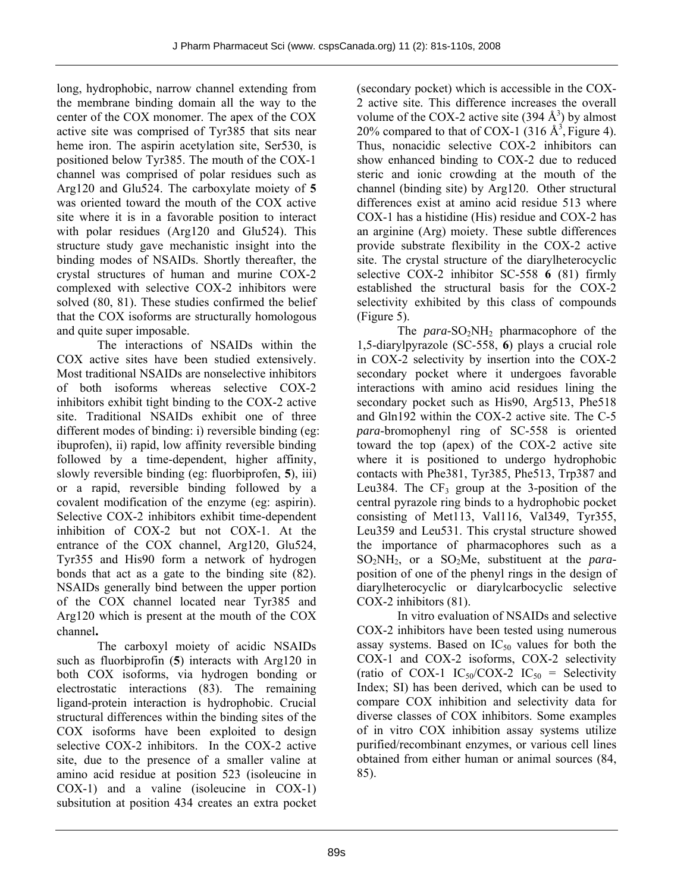long, hydrophobic, narrow channel extending from the membrane binding domain all the way to the center of the COX monomer. The apex of the COX active site was comprised of Tyr385 that sits near heme iron. The aspirin acetylation site, Ser530, is positioned below Tyr385. The mouth of the COX-1 channel was comprised of polar residues such as Arg120 and Glu524. The carboxylate moiety of **5** was oriented toward the mouth of the COX active site where it is in a favorable position to interact with polar residues (Arg120 and Glu524). This structure study gave mechanistic insight into the binding modes of NSAIDs. Shortly thereafter, the crystal structures of human and murine COX-2 complexed with selective COX-2 inhibitors were solved (80, 81). These studies confirmed the belief that the COX isoforms are structurally homologous and quite super imposable.

The interactions of NSAIDs within the COX active sites have been studied extensively. Most traditional NSAIDs are nonselective inhibitors of both isoforms whereas selective COX-2 inhibitors exhibit tight binding to the COX-2 active site. Traditional NSAIDs exhibit one of three different modes of binding: i) reversible binding (eg: ibuprofen), ii) rapid, low affinity reversible binding followed by a time-dependent, higher affinity, slowly reversible binding (eg: fluorbiprofen, **5**), iii) or a rapid, reversible binding followed by a covalent modification of the enzyme (eg: aspirin). Selective COX-2 inhibitors exhibit time-dependent inhibition of COX-2 but not COX-1. At the entrance of the COX channel, Arg120, Glu524, Tyr355 and His90 form a network of hydrogen bonds that act as a gate to the binding site (82). NSAIDs generally bind between the upper portion of the COX channel located near Tyr385 and Arg120 which is present at the mouth of the COX channel**.** 

The carboxyl moiety of acidic NSAIDs such as fluorbiprofin (**5**) interacts with Arg120 in both COX isoforms, via hydrogen bonding or electrostatic interactions (83). The remaining ligand-protein interaction is hydrophobic. Crucial structural differences within the binding sites of the COX isoforms have been exploited to design selective COX-2 inhibitors. In the COX-2 active site, due to the presence of a smaller valine at amino acid residue at position 523 (isoleucine in COX-1) and a valine (isoleucine in COX-1) subsitution at position 434 creates an extra pocket

(secondary pocket) which is accessible in the COX-2 active site. This difference increases the overall volume of the COX-2 active site (394  $\AA$ <sup>3</sup>) by almost 20% compared to that of COX-1 (316  $\mathring{A}^3$ , Figure 4). Thus, nonacidic selective COX-2 inhibitors can show enhanced binding to COX-2 due to reduced steric and ionic crowding at the mouth of the channel (binding site) by Arg120. Other structural differences exist at amino acid residue 513 where COX-1 has a histidine (His) residue and COX-2 has an arginine (Arg) moiety. These subtle differences provide substrate flexibility in the COX-2 active site. The crystal structure of the diarylheterocyclic selective COX-2 inhibitor SC-558 **6** (81) firmly established the structural basis for the COX-2 selectivity exhibited by this class of compounds (Figure 5).

The *para*-SO<sub>2</sub>NH<sub>2</sub> pharmacophore of the 1,5-diarylpyrazole (SC-558, **6**) plays a crucial role in COX-2 selectivity by insertion into the COX-2 secondary pocket where it undergoes favorable interactions with amino acid residues lining the secondary pocket such as His90, Arg513, Phe518 and Gln192 within the COX-2 active site. The C-5 *para*-bromophenyl ring of SC-558 is oriented toward the top (apex) of the COX-2 active site where it is positioned to undergo hydrophobic contacts with Phe381, Tyr385, Phe513, Trp387 and Leu384. The  $CF_3$  group at the 3-position of the central pyrazole ring binds to a hydrophobic pocket consisting of Met113, Val116, Val349, Tyr355, Leu359 and Leu531. This crystal structure showed the importance of pharmacophores such as a SO<sub>2</sub>NH<sub>2</sub>, or a SO<sub>2</sub>Me, substituent at the *para*position of one of the phenyl rings in the design of diarylheterocyclic or diarylcarbocyclic selective COX-2 inhibitors (81).

In vitro evaluation of NSAIDs and selective COX-2 inhibitors have been tested using numerous assay systems. Based on  $IC_{50}$  values for both the COX-1 and COX-2 isoforms, COX-2 selectivity (ratio of COX-1 IC<sub>50</sub>/COX-2 IC<sub>50</sub> = Selectivity Index; SI) has been derived, which can be used to compare COX inhibition and selectivity data for diverse classes of COX inhibitors. Some examples of in vitro COX inhibition assay systems utilize purified/recombinant enzymes, or various cell lines obtained from either human or animal sources (84, 85).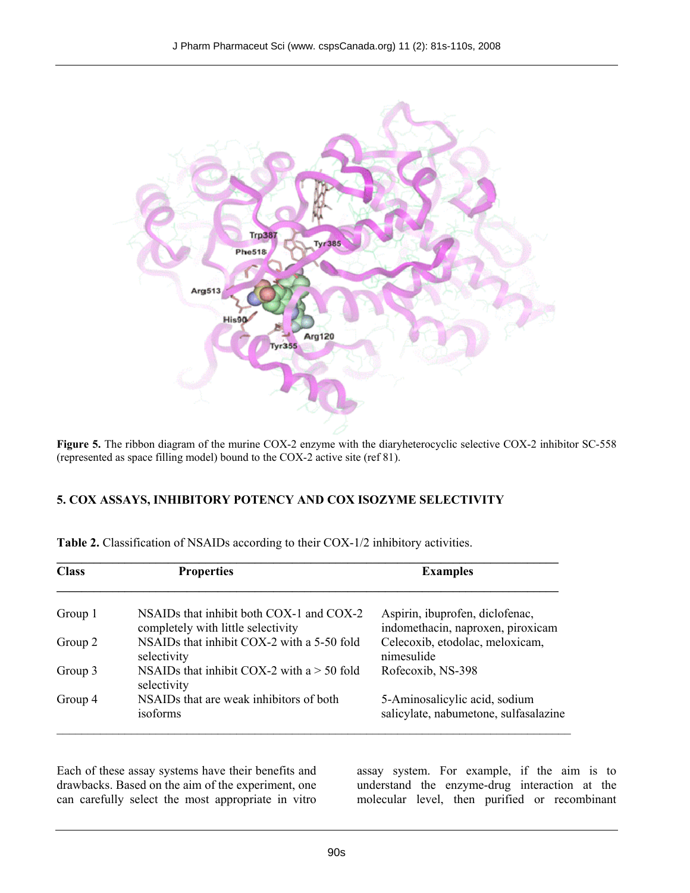

**Figure 5.** The ribbon diagram of the murine COX-2 enzyme with the diaryheterocyclic selective COX-2 inhibitor SC-558 (represented as space filling model) bound to the COX-2 active site (ref 81).

# **5. COX ASSAYS, INHIBITORY POTENCY AND COX ISOZYME SELECTIVITY**

| <b>Class</b> | <b>Properties</b>                                                                  | <b>Examples</b>                                                        |  |  |
|--------------|------------------------------------------------------------------------------------|------------------------------------------------------------------------|--|--|
| Group 1      | NSAIDs that inhibit both $COX-1$ and $COX-2$<br>completely with little selectivity | Aspirin, ibuprofen, diclofenac,<br>indomethacin, naproxen, piroxicam   |  |  |
| Group 2      | NSAIDs that inhibit COX-2 with a 5-50 fold<br>selectivity                          | Celecoxib, etodolac, meloxicam,<br>nimesulide                          |  |  |
| Group 3      | NSAIDs that inhibit COX-2 with $a > 50$ fold<br>selectivity                        | Rofecoxib, NS-398                                                      |  |  |
| Group 4      | NSAIDs that are weak inhibitors of both<br>isoforms                                | 5-Aminosalicylic acid, sodium<br>salicylate, nabumetone, sulfasalazine |  |  |

**Table 2.** Classification of NSAIDs according to their COX-1/2 inhibitory activities.

Each of these assay systems have their benefits and drawbacks. Based on the aim of the experiment, one can carefully select the most appropriate in vitro

assay system. For example, if the aim is to understand the enzyme-drug interaction at the molecular level, then purified or recombinant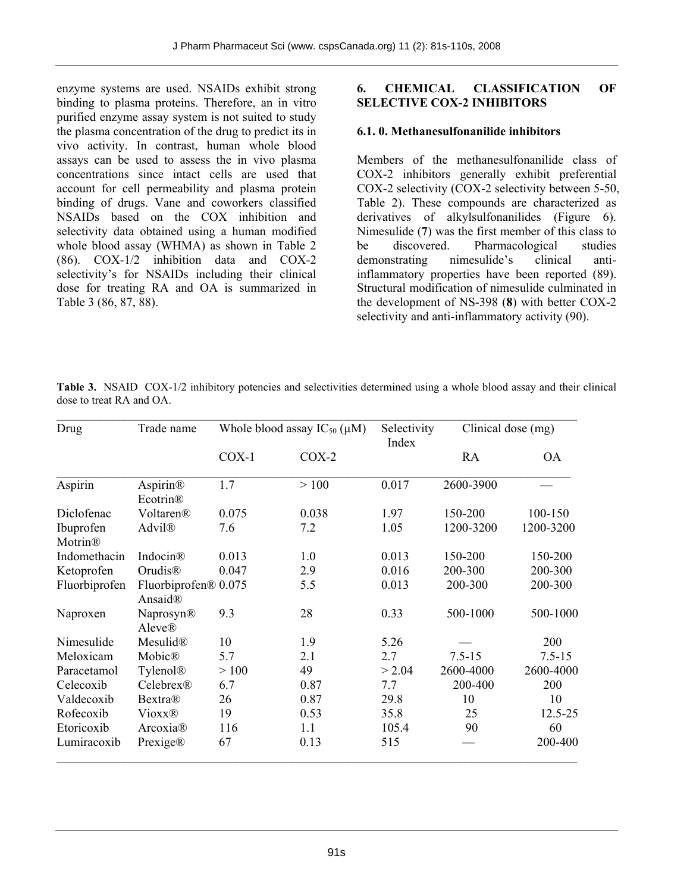enzyme systems are used. NSAIDs exhibit strong binding to plasma proteins. Therefore, an in vitro purified enzyme assay system is not suited to study the plasma concentration of the drug to predict its in vivo activity. In contrast, human whole blood assays can be used to assess the in vivo plasma concentrations since intact cells are used that account for cell permeability and plasma protein binding of drugs. Vane and coworkers classified NSAIDs based on the COX inhibition and selectivity data obtained using a human modified whole blood assay (WHMA) as shown in Table 2 (86). COX-1/2 inhibition data and COX-2 selectivity's for NSAIDs including their clinical dose for treating RA and OA is summarized in Table 3 (86, 87, 88).

#### **6. CHEMICAL CLASSIFICATION OF SELECTIVE COX-2 INHIBITORS**

### **6.1. 0. Methanesulfonanilide inhibitors**

Members of the methanesulfonanilide class of COX-2 inhibitors generally exhibit preferential COX-2 selectivity (COX-2 selectivity between 5-50, Table 2). These compounds are characterized as derivatives of alkylsulfonanilides (Figure 6). Nimesulide (**7**) was the first member of this class to be discovered. Pharmacological studies demonstrating nimesulide's clinical antiinflammatory properties have been reported (89). Structural modification of nimesulide culminated in the development of NS-398 (**8**) with better COX-2 selectivity and anti-inflammatory activity (90).

| Drug                             | Trade name                         | Whole blood assay $IC_{50}(\mu M)$ |         | Selectivity<br>Index | Clinical dose (mg) |            |
|----------------------------------|------------------------------------|------------------------------------|---------|----------------------|--------------------|------------|
|                                  |                                    | $COX-1$                            | $COX-2$ |                      | <b>RA</b>          | <b>OA</b>  |
| Aspirin                          | Aspirin®<br>Ecotrin®               | 1.7                                | >100    | 0.017                | 2600-3900          |            |
| Diclofenac                       | Voltaren®                          | 0.075                              | 0.038   | 1.97                 | 150-200            | 100-150    |
| Ibuprofen<br>Motrin <sup>®</sup> | Advil®                             | 7.6                                | 7.2     | 1.05                 | 1200-3200          | 1200-3200  |
| Indomethacin                     | Indocin <sup>®</sup>               | 0.013                              | 1.0     | 0.013                | 150-200            | 150-200    |
| Ketoprofen                       | Orudis <sup>®</sup>                | 0.047                              | 2.9     | 0.016                | 200-300            | 200-300    |
| Fluorbiprofen                    | Fluorbiprofen® 0.075<br>Ansaid®    |                                    | 5.5     | 0.013                | 200-300            | 200-300    |
| Naproxen                         | <b>Naprosyn®</b><br><b>Aleve</b> ® | 9.3                                | 28      | 0.33                 | 500-1000           | 500-1000   |
| Nimesulide                       | Mesulid®                           | 10                                 | 1.9     | 5.26                 |                    | 200        |
| Meloxicam                        | Mobic®                             | 5.7                                | 2.1     | 2.7                  | $7.5 - 15$         | $7.5 - 15$ |
| Paracetamol                      | Tylenol <sup>®</sup>               | >100                               | 49      | > 2.04               | 2600-4000          | 2600-4000  |
| Celecoxib                        | Celebrex®                          | 6.7                                | 0.87    | 7.7                  | 200-400            | 200        |
| Valdecoxib                       | Bextra®                            | 26                                 | 0.87    | 29.8                 | 10                 | 10         |
| Rofecoxib                        | <b>Vioxx®</b>                      | 19                                 | 0.53    | 35.8                 | 25                 | 12.5-25    |
| Etoricoxib                       | Arcoxia <sup>®</sup>               | 116                                | 1.1     | 105.4                | 90                 | 60         |
| Lumiracoxib                      | Prexige®                           | 67                                 | 0.13    | 515                  |                    | 200-400    |

**Table 3.** NSAID COX-1/2 inhibitory potencies and selectivities determined using a whole blood assay and their clinical dose to treat RA and OA.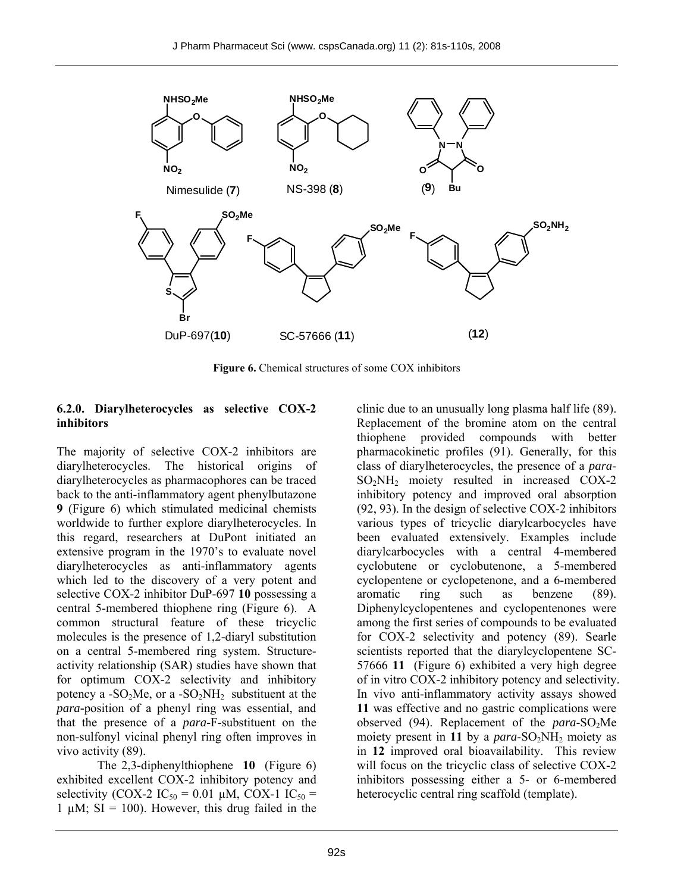

**Figure 6.** Chemical structures of some COX inhibitors

#### **6.2.0. Diarylheterocycles as selective COX-2 inhibitors**

The majority of selective COX-2 inhibitors are diarylheterocycles. The historical origins of diarylheterocycles as pharmacophores can be traced back to the anti-inflammatory agent phenylbutazone **9** (Figure 6) which stimulated medicinal chemists worldwide to further explore diarylheterocycles. In this regard, researchers at DuPont initiated an extensive program in the 1970's to evaluate novel diarylheterocycles as anti-inflammatory agents which led to the discovery of a very potent and selective COX-2 inhibitor DuP-697 **10** possessing a central 5-membered thiophene ring (Figure 6). A common structural feature of these tricyclic molecules is the presence of 1,2-diaryl substitution on a central 5-membered ring system. Structureactivity relationship (SAR) studies have shown that for optimum COX-2 selectivity and inhibitory potency a -SO<sub>2</sub>Me, or a -SO<sub>2</sub>NH<sub>2</sub> substituent at the *para-*position of a phenyl ring was essential, and that the presence of a *para*-F-substituent on the non-sulfonyl vicinal phenyl ring often improves in vivo activity (89).

The 2,3-diphenylthiophene **10** (Figure 6) exhibited excellent COX-2 inhibitory potency and selectivity (COX-2 IC<sub>50</sub> = 0.01 µM, COX-1 IC<sub>50</sub> = 1  $\mu$ M; SI = 100). However, this drug failed in the clinic due to an unusually long plasma half life (89). Replacement of the bromine atom on the central thiophene provided compounds with better pharmacokinetic profiles (91). Generally, for this class of diarylheterocycles, the presence of a *para*-SO2NH2 moiety resulted in increased COX-2 inhibitory potency and improved oral absorption (92, 93). In the design of selective COX-2 inhibitors various types of tricyclic diarylcarbocycles have been evaluated extensively. Examples include diarylcarbocycles with a central 4-membered cyclobutene or cyclobutenone, a 5-membered cyclopentene or cyclopetenone, and a 6-membered aromatic ring such as benzene (89). Diphenylcyclopentenes and cyclopentenones were among the first series of compounds to be evaluated for COX-2 selectivity and potency (89). Searle scientists reported that the diarylcyclopentene SC-57666 **11** (Figure 6) exhibited a very high degree of in vitro COX-2 inhibitory potency and selectivity. In vivo anti-inflammatory activity assays showed **11** was effective and no gastric complications were observed (94). Replacement of the *para*-SO<sub>2</sub>Me moiety present in 11 by a  $para-SO_2NH_2$  moiety as in **12** improved oral bioavailability. This review will focus on the tricyclic class of selective COX-2 inhibitors possessing either a 5- or 6-membered heterocyclic central ring scaffold (template).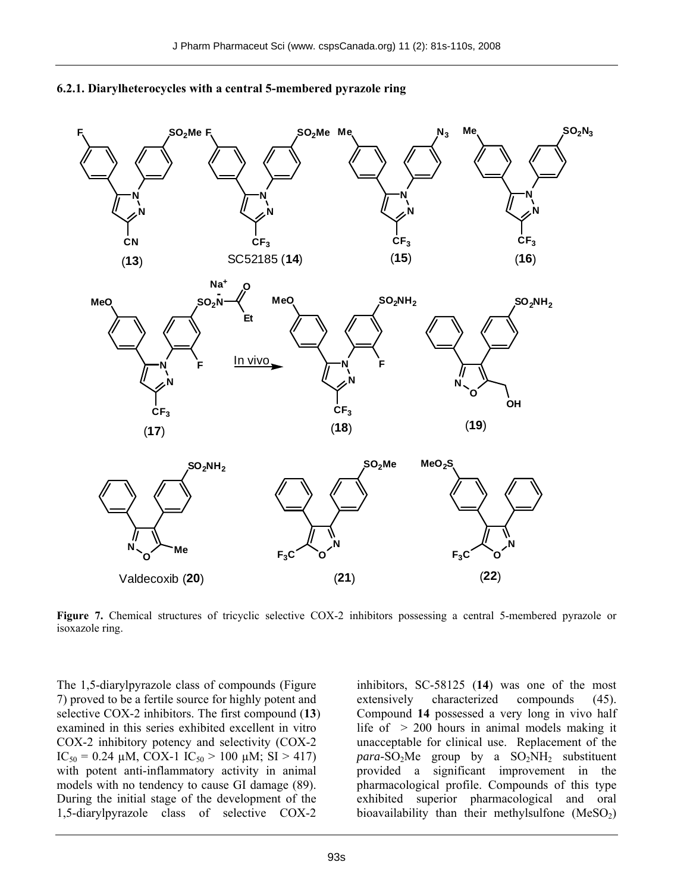

#### **6.2.1. Diarylheterocycles with a central 5-membered pyrazole ring**

**Figure 7.** Chemical structures of tricyclic selective COX-2 inhibitors possessing a central 5-membered pyrazole or isoxazole ring.

The 1,5-diarylpyrazole class of compounds (Figure 7) proved to be a fertile source for highly potent and selective COX-2 inhibitors. The first compound (**13**) examined in this series exhibited excellent in vitro COX-2 inhibitory potency and selectivity (COX-2 IC<sub>50</sub> = 0.24  $\mu$ M, COX-1 IC<sub>50</sub> > 100  $\mu$ M; SI > 417) with potent anti-inflammatory activity in animal models with no tendency to cause GI damage (89). During the initial stage of the development of the 1,5-diarylpyrazole class of selective COX-2

inhibitors, SC-58125 (**14**) was one of the most extensively characterized compounds (45). Compound **14** possessed a very long in vivo half life of  $> 200$  hours in animal models making it unacceptable for clinical use. Replacement of the  $para$ -SO<sub>2</sub>Me group by a SO<sub>2</sub>NH<sub>2</sub> substituent provided a significant improvement in the pharmacological profile. Compounds of this type exhibited superior pharmacological and oral bioavailability than their methylsulfone  $(MeSO<sub>2</sub>)$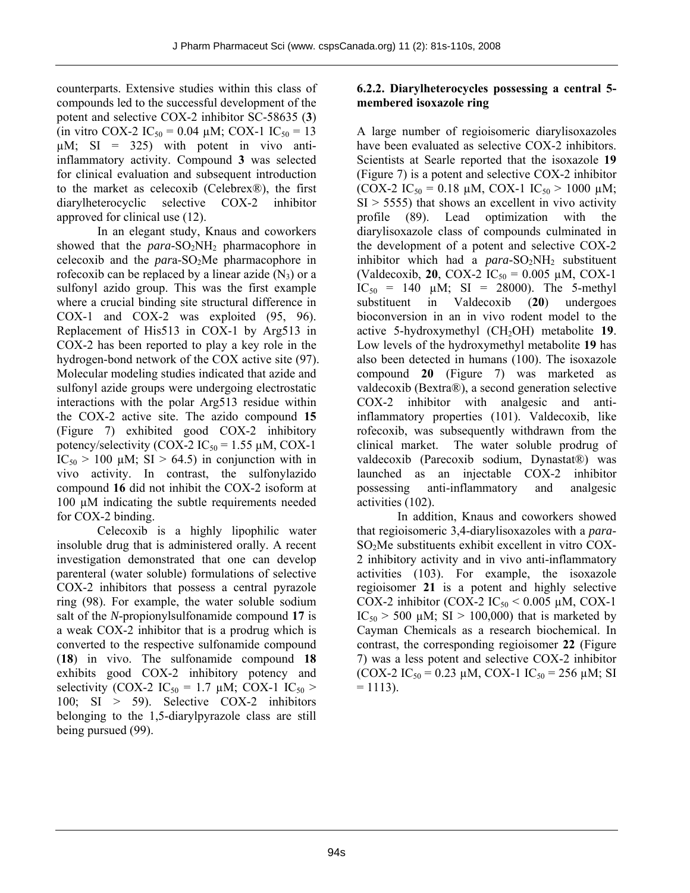counterparts. Extensive studies within this class of compounds led to the successful development of the potent and selective COX-2 inhibitor SC-58635 (**3**) (in vitro COX-2 IC<sub>50</sub> = 0.04 µM; COX-1 IC<sub>50</sub> = 13  $\mu$ M; SI = 325) with potent in vivo antiinflammatory activity. Compound **3** was selected for clinical evaluation and subsequent introduction to the market as celecoxib (Celebrex®), the first diarylheterocyclic selective COX-2 inhibitor approved for clinical use (12).

In an elegant study, Knaus and coworkers showed that the *para*-SO<sub>2</sub>NH<sub>2</sub> pharmacophore in celecoxib and the *par*a-SO2Me pharmacophore in rofecoxib can be replaced by a linear azide  $(N_3)$  or a sulfonyl azido group. This was the first example where a crucial binding site structural difference in COX-1 and COX-2 was exploited (95, 96). Replacement of His513 in COX-1 by Arg513 in COX-2 has been reported to play a key role in the hydrogen-bond network of the COX active site (97). Molecular modeling studies indicated that azide and sulfonyl azide groups were undergoing electrostatic interactions with the polar Arg513 residue within the COX-2 active site. The azido compound **15** (Figure 7) exhibited good COX-2 inhibitory potency/selectivity (COX-2  $IC_{50} = 1.55 \mu M$ , COX-1  $IC_{50} > 100 \mu M$ ; SI  $> 64.5$ ) in conjunction with in vivo activity. In contrast, the sulfonylazido compound **16** did not inhibit the COX-2 isoform at 100 µM indicating the subtle requirements needed for COX-2 binding.

Celecoxib is a highly lipophilic water insoluble drug that is administered orally. A recent investigation demonstrated that one can develop parenteral (water soluble) formulations of selective COX-2 inhibitors that possess a central pyrazole ring (98). For example, the water soluble sodium salt of the *N*-propionylsulfonamide compound **17** is a weak COX-2 inhibitor that is a prodrug which is converted to the respective sulfonamide compound (**18**) in vivo. The sulfonamide compound **18** exhibits good COX-2 inhibitory potency and selectivity (COX-2 IC<sub>50</sub> = 1.7  $\mu$ M; COX-1 IC<sub>50</sub> > 100; SI > 59). Selective COX-2 inhibitors belonging to the 1,5-diarylpyrazole class are still being pursued (99).

### **6.2.2. Diarylheterocycles possessing a central 5 membered isoxazole ring**

A large number of regioisomeric diarylisoxazoles have been evaluated as selective COX-2 inhibitors. Scientists at Searle reported that the isoxazole **19** (Figure 7) is a potent and selective COX-2 inhibitor (COX-2 IC<sub>50</sub> = 0.18  $\mu$ M, COX-1 IC<sub>50</sub> > 1000  $\mu$ M;  $SI$  > 5555) that shows an excellent in vivo activity profile (89). Lead optimization with the diarylisoxazole class of compounds culminated in the development of a potent and selective COX-2 inhibitor which had a  $para-SO_2NH_2$  substituent (Valdecoxib, **20**, COX-2  $IC_{50} = 0.005 \mu M$ , COX-1  $IC_{50} = 140 \mu M$ ; SI = 28000). The 5-methyl substituent in Valdecoxib (**20**) undergoes bioconversion in an in vivo rodent model to the active 5-hydroxymethyl (CH<sub>2</sub>OH) metabolite **19**. Low levels of the hydroxymethyl metabolite **19** has also been detected in humans (100). The isoxazole compound **20** (Figure 7) was marketed as valdecoxib (Bextra®), a second generation selective COX-2 inhibitor with analgesic and antiinflammatory properties (101). Valdecoxib, like rofecoxib, was subsequently withdrawn from the clinical market. The water soluble prodrug of valdecoxib (Parecoxib sodium, Dynastat®) was launched as an injectable COX-2 inhibitor possessing anti-inflammatory and analgesic activities (102).

In addition, Knaus and coworkers showed that regioisomeric 3,4-diarylisoxazoles with a *para*-SO2Me substituents exhibit excellent in vitro COX-2 inhibitory activity and in vivo anti-inflammatory activities (103). For example, the isoxazole regioisomer **21** is a potent and highly selective COX-2 inhibitor (COX-2  $IC_{50}$  < 0.005 µM, COX-1  $IC_{50}$  > 500 µM; SI > 100,000) that is marketed by Cayman Chemicals as a research biochemical. In contrast, the corresponding regioisomer **22** (Figure 7) was a less potent and selective COX-2 inhibitor  $(COX-2 IC_{50} = 0.23 \mu M, COX-1 IC_{50} = 256 \mu M; SI$  $= 1113$ ).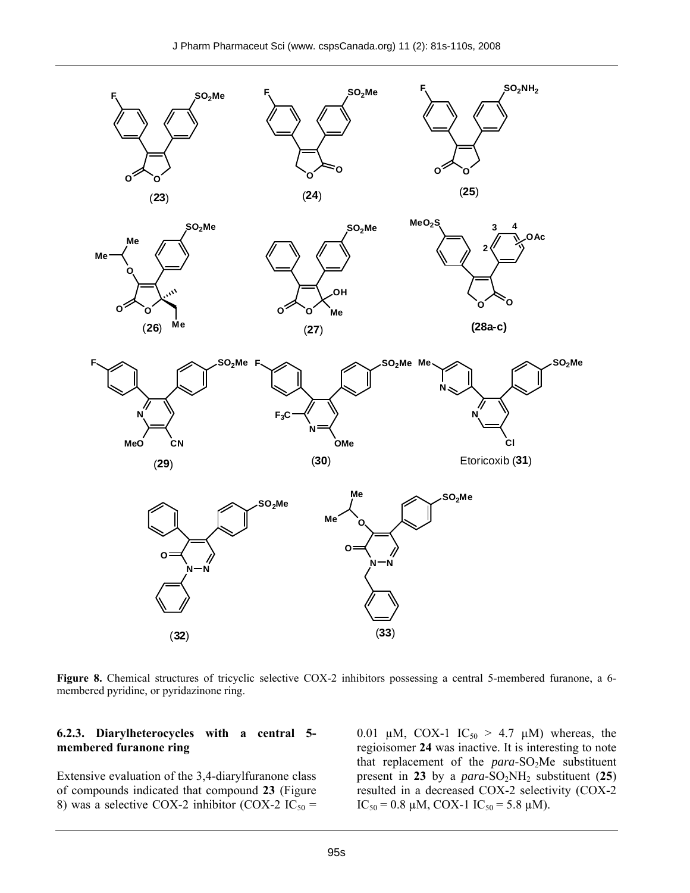

**Figure 8.** Chemical structures of tricyclic selective COX-2 inhibitors possessing a central 5-membered furanone, a 6 membered pyridine, or pyridazinone ring.

#### **6.2.3. Diarylheterocycles with a central 5 membered furanone ring**

Extensive evaluation of the 3,4-diarylfuranone class of compounds indicated that compound **23** (Figure 8) was a selective COX-2 inhibitor (COX-2 IC<sub>50</sub> = 0.01 µM, COX-1 IC<sub>50</sub> > 4.7 µM) whereas, the regioisomer **24** was inactive. It is interesting to note that replacement of the *para*-SO<sub>2</sub>Me substituent present in 23 by a  $para-SO_2NH_2$  substituent (25) resulted in a decreased COX-2 selectivity (COX-2  $IC_{50} = 0.8 \mu M$ , COX-1  $IC_{50} = 5.8 \mu M$ ).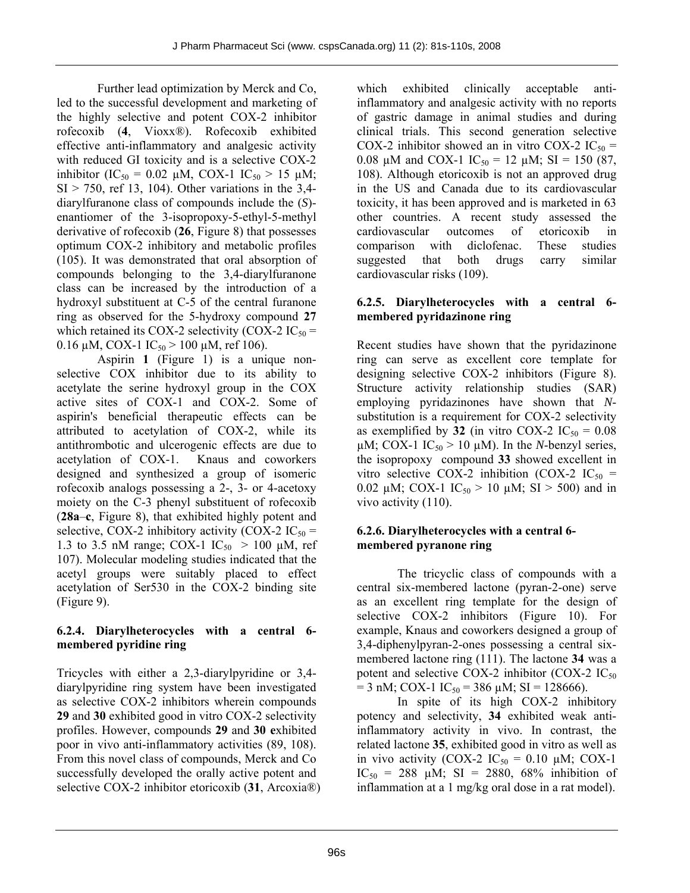Further lead optimization by Merck and Co, led to the successful development and marketing of the highly selective and potent COX-2 inhibitor rofecoxib (**4**, Vioxx®). Rofecoxib exhibited effective anti-inflammatory and analgesic activity with reduced GI toxicity and is a selective COX-2 inhibitor (IC<sub>50</sub> = 0.02  $\mu$ M, COX-1 IC<sub>50</sub> > 15  $\mu$ M;  $SI > 750$ , ref 13, 104). Other variations in the 3,4diarylfuranone class of compounds include the (*S*) enantiomer of the 3-isopropoxy-5-ethyl-5-methyl derivative of rofecoxib (**26**, Figure 8) that possesses optimum COX-2 inhibitory and metabolic profiles (105). It was demonstrated that oral absorption of compounds belonging to the 3,4-diarylfuranone class can be increased by the introduction of a hydroxyl substituent at C-5 of the central furanone ring as observed for the 5-hydroxy compound **27** which retained its COX-2 selectivity (COX-2  $IC_{50}$  = 0.16  $\mu$ M, COX-1 IC<sub>50</sub> > 100  $\mu$ M, ref 106).

Aspirin **1** (Figure 1) is a unique nonselective COX inhibitor due to its ability to acetylate the serine hydroxyl group in the COX active sites of COX-1 and COX-2. Some of aspirin's beneficial therapeutic effects can be attributed to acetylation of COX-2, while its antithrombotic and ulcerogenic effects are due to acetylation of COX-1. Knaus and coworkers designed and synthesized a group of isomeric rofecoxib analogs possessing a 2-, 3- or 4-acetoxy moiety on the C-3 phenyl substituent of rofecoxib (**28a**–**c**, Figure 8), that exhibited highly potent and selective, COX-2 inhibitory activity (COX-2  $IC_{50}$  = 1.3 to 3.5 nM range; COX-1  $IC_{50} > 100 \mu M$ , ref 107). Molecular modeling studies indicated that the acetyl groups were suitably placed to effect acetylation of Ser530 in the COX-2 binding site (Figure 9).

# **6.2.4. Diarylheterocycles with a central 6 membered pyridine ring**

Tricycles with either a 2,3-diarylpyridine or 3,4 diarylpyridine ring system have been investigated as selective COX-2 inhibitors wherein compounds **29** and **30** exhibited good in vitro COX-2 selectivity profiles. However, compounds **29** and **30 e**xhibited poor in vivo anti-inflammatory activities (89, 108). From this novel class of compounds, Merck and Co successfully developed the orally active potent and selective COX-2 inhibitor etoricoxib (**31**, Arcoxia®)

which exhibited clinically acceptable antiinflammatory and analgesic activity with no reports of gastric damage in animal studies and during clinical trials. This second generation selective COX-2 inhibitor showed an in vitro COX-2  $IC_{50}$  = 0.08  $\mu$ M and COX-1 IC<sub>50</sub> = 12  $\mu$ M; SI = 150 (87, 108). Although etoricoxib is not an approved drug in the US and Canada due to its cardiovascular toxicity, it has been approved and is marketed in 63 other countries. A recent study assessed the cardiovascular outcomes of etoricoxib in comparison with diclofenac. These studies suggested that both drugs carry similar cardiovascular risks (109).

# **6.2.5. Diarylheterocycles with a central 6 membered pyridazinone ring**

Recent studies have shown that the pyridazinone ring can serve as excellent core template for designing selective COX-2 inhibitors (Figure 8). Structure activity relationship studies (SAR) employing pyridazinones have shown that *N*substitution is a requirement for COX-2 selectivity as exemplified by **32** (in vitro COX-2  $IC_{50} = 0.08$ )  $\mu$ M; COX-1 IC<sub>50</sub> > 10  $\mu$ M). In the *N*-benzyl series, the isopropoxy compound **33** showed excellent in vitro selective COX-2 inhibition (COX-2  $IC_{50}$  = 0.02  $\mu$ M; COX-1 IC<sub>50</sub> > 10  $\mu$ M; SI > 500) and in vivo activity (110).

# **6.2.6. Diarylheterocycles with a central 6 membered pyranone ring**

The tricyclic class of compounds with a central six-membered lactone (pyran-2-one) serve as an excellent ring template for the design of selective COX-2 inhibitors (Figure 10). For example, Knaus and coworkers designed a group of 3,4-diphenylpyran-2-ones possessing a central sixmembered lactone ring (111). The lactone **34** was a potent and selective COX-2 inhibitor (COX-2  $IC_{50}$  $= 3$  nM; COX-1 IC<sub>50</sub>  $= 386 \mu$ M; SI  $= 128666$ ).

In spite of its high COX-2 inhibitory potency and selectivity, **34** exhibited weak antiinflammatory activity in vivo. In contrast, the related lactone **35**, exhibited good in vitro as well as in vivo activity (COX-2  $IC_{50} = 0.10 \mu M$ ; COX-1 IC<sub>50</sub> = 288  $\mu$ M; SI = 2880, 68% inhibition of inflammation at a 1 mg/kg oral dose in a rat model).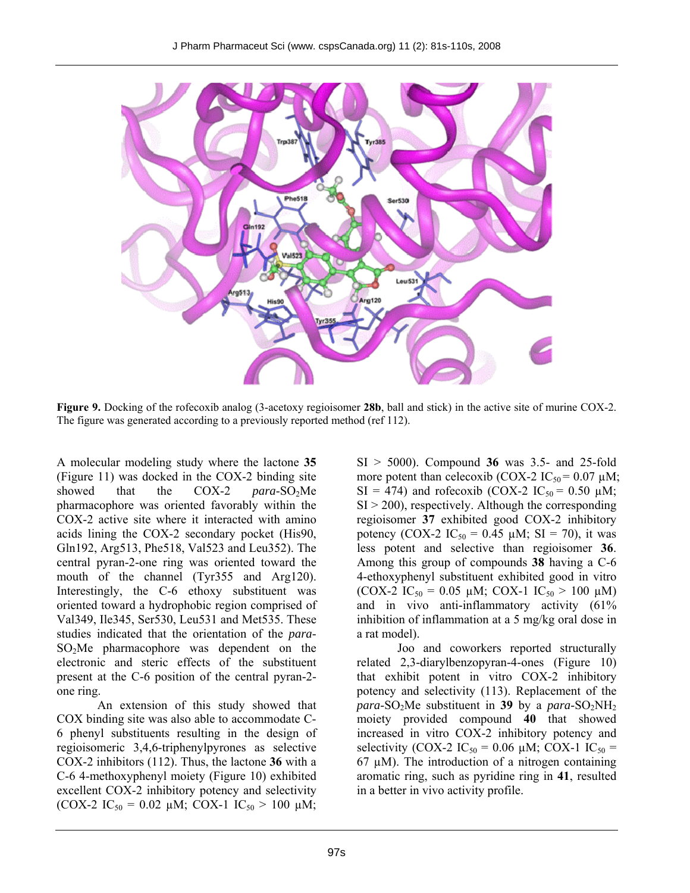

**Figure 9.** Docking of the rofecoxib analog (3-acetoxy regioisomer **28b**, ball and stick) in the active site of murine COX-2. The figure was generated according to a previously reported method (ref 112).

A molecular modeling study where the lactone **35** (Figure 11) was docked in the COX-2 binding site showed that the COX-2 *para*-SO<sub>2</sub>Me pharmacophore was oriented favorably within the COX-2 active site where it interacted with amino acids lining the COX-2 secondary pocket (His90, Gln192, Arg513, Phe518, Val523 and Leu352). The central pyran-2-one ring was oriented toward the mouth of the channel (Tyr355 and Arg120). Interestingly, the C-6 ethoxy substituent was oriented toward a hydrophobic region comprised of Val349, Ile345, Ser530, Leu531 and Met535. These studies indicated that the orientation of the *para*-SO<sub>2</sub>Me pharmacophore was dependent on the electronic and steric effects of the substituent present at the C-6 position of the central pyran-2 one ring.

An extension of this study showed that COX binding site was also able to accommodate C-6 phenyl substituents resulting in the design of regioisomeric 3,4,6-triphenylpyrones as selective COX-2 inhibitors (112). Thus, the lactone **36** with a C-6 4-methoxyphenyl moiety (Figure 10) exhibited excellent COX-2 inhibitory potency and selectivity (COX-2 IC<sub>50</sub> = 0.02 µM; COX-1 IC<sub>50</sub> > 100 µM;

SI > 5000). Compound **36** was 3.5- and 25-fold more potent than celecoxib (COX-2  $IC_{50} = 0.07 \mu M$ ;  $SI = 474$ ) and rofecoxib (COX-2 IC<sub>50</sub> = 0.50 µM;  $SI > 200$ ), respectively. Although the corresponding regioisomer **37** exhibited good COX-2 inhibitory potency (COX-2  $IC_{50} = 0.45 \mu M$ ; SI = 70), it was less potent and selective than regioisomer **36**. Among this group of compounds **38** having a C-6 4-ethoxyphenyl substituent exhibited good in vitro (COX-2 IC<sub>50</sub> = 0.05 µM; COX-1 IC<sub>50</sub> > 100 µM) and in vivo anti-inflammatory activity (61% inhibition of inflammation at a 5 mg/kg oral dose in a rat model).

Joo and coworkers reported structurally related 2,3-diarylbenzopyran-4-ones (Figure 10) that exhibit potent in vitro COX-2 inhibitory potency and selectivity (113). Replacement of the *para*-SO<sub>2</sub>Me substituent in **39** by a *para*-SO<sub>2</sub>NH<sub>2</sub> moiety provided compound **40** that showed increased in vitro COX-2 inhibitory potency and selectivity (COX-2 IC<sub>50</sub> = 0.06  $\mu$ M; COX-1 IC<sub>50</sub> = 67  $\mu$ M). The introduction of a nitrogen containing aromatic ring, such as pyridine ring in **41**, resulted in a better in vivo activity profile.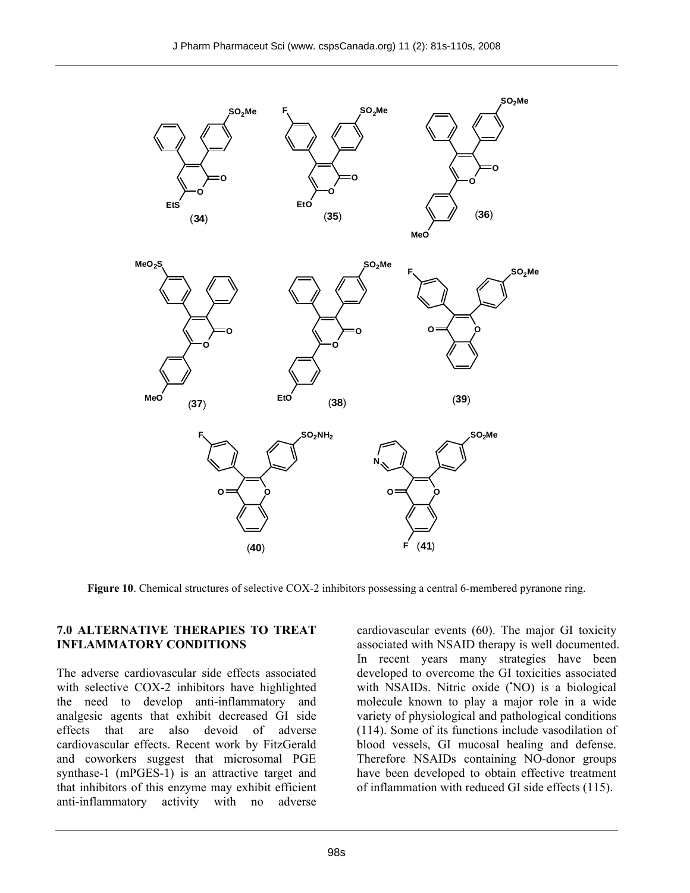

**Figure 10**. Chemical structures of selective COX-2 inhibitors possessing a central 6-membered pyranone ring.

#### **7.0 ALTERNATIVE THERAPIES TO TREAT INFLAMMATORY CONDITIONS**

The adverse cardiovascular side effects associated with selective COX-2 inhibitors have highlighted the need to develop anti-inflammatory and analgesic agents that exhibit decreased GI side effects that are also devoid of adverse cardiovascular effects. Recent work by FitzGerald and coworkers suggest that microsomal PGE synthase-1 (mPGES-1) is an attractive target and that inhibitors of this enzyme may exhibit efficient anti-inflammatory activity with no adverse

cardiovascular events (60). The major GI toxicity associated with NSAID therapy is well documented. In recent years many strategies have been developed to overcome the GI toxicities associated with NSAIDs. Nitric oxide ('NO) is a biological molecule known to play a major role in a wide variety of physiological and pathological conditions (114). Some of its functions include vasodilation of blood vessels, GI mucosal healing and defense. Therefore NSAIDs containing NO-donor groups have been developed to obtain effective treatment of inflammation with reduced GI side effects (115).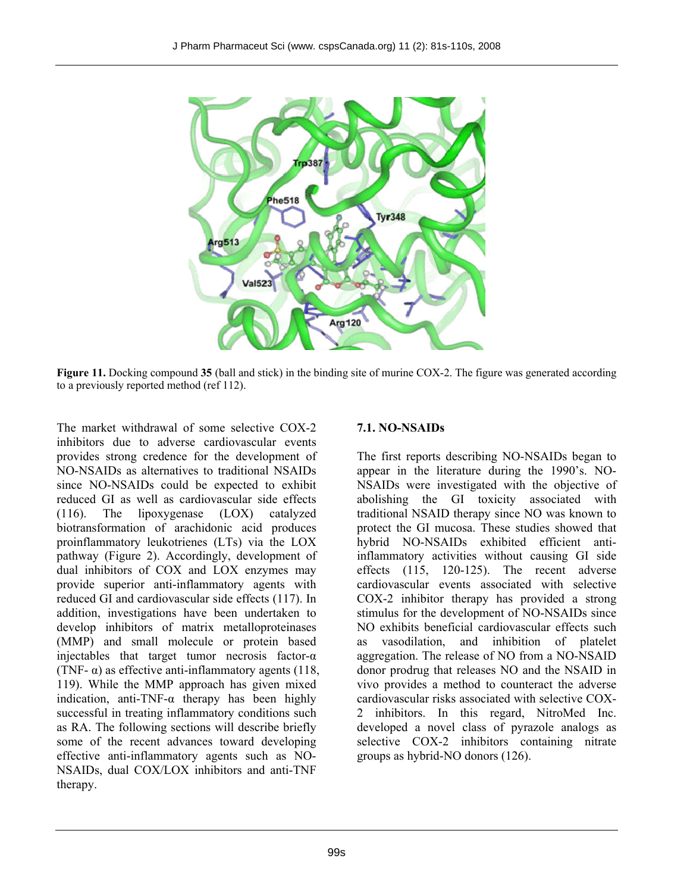

**Figure 11.** Docking compound **35** (ball and stick) in the binding site of murine COX-2. The figure was generated according to a previously reported method (ref 112).

The market withdrawal of some selective COX-2 inhibitors due to adverse cardiovascular events provides strong credence for the development of NO-NSAIDs as alternatives to traditional NSAIDs since NO-NSAIDs could be expected to exhibit reduced GI as well as cardiovascular side effects (116). The lipoxygenase (LOX) catalyzed biotransformation of arachidonic acid produces proinflammatory leukotrienes (LTs) via the LOX pathway (Figure 2). Accordingly, development of dual inhibitors of COX and LOX enzymes may provide superior anti-inflammatory agents with reduced GI and cardiovascular side effects (117). In addition, investigations have been undertaken to develop inhibitors of matrix metalloproteinases (MMP) and small molecule or protein based injectables that target tumor necrosis factor-α (TNF- $\alpha$ ) as effective anti-inflammatory agents (118, 119). While the MMP approach has given mixed indication, anti-TNF-α therapy has been highly successful in treating inflammatory conditions such as RA. The following sections will describe briefly some of the recent advances toward developing effective anti-inflammatory agents such as NO-NSAIDs, dual COX/LOX inhibitors and anti-TNF therapy.

# **7.1. NO-NSAIDs**

The first reports describing NO-NSAIDs began to appear in the literature during the 1990's. NO-NSAIDs were investigated with the objective of abolishing the GI toxicity associated with traditional NSAID therapy since NO was known to protect the GI mucosa. These studies showed that hybrid NO-NSAIDs exhibited efficient antiinflammatory activities without causing GI side effects (115, 120-125). The recent adverse cardiovascular events associated with selective COX-2 inhibitor therapy has provided a strong stimulus for the development of NO-NSAIDs since NO exhibits beneficial cardiovascular effects such as vasodilation, and inhibition of platelet aggregation. The release of NO from a NO-NSAID donor prodrug that releases NO and the NSAID in vivo provides a method to counteract the adverse cardiovascular risks associated with selective COX-2 inhibitors. In this regard, NitroMed Inc. developed a novel class of pyrazole analogs as selective COX-2 inhibitors containing nitrate groups as hybrid-NO donors (126).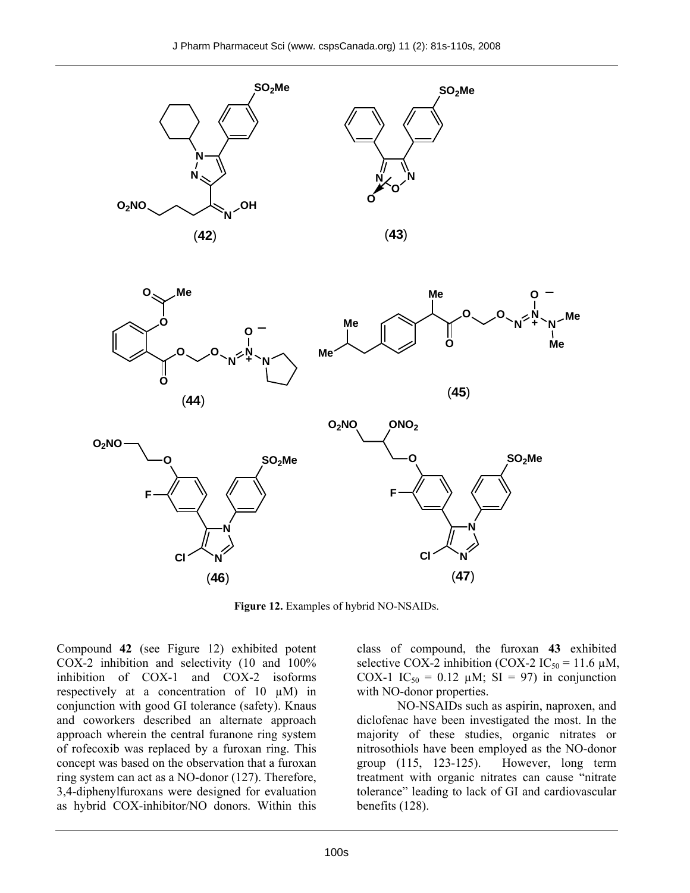**SO2Me**





**Figure 12.** Examples of hybrid NO-NSAIDs.

Compound **42** (see Figure 12) exhibited potent COX-2 inhibition and selectivity (10 and 100% inhibition of COX-1 and COX-2 isoforms respectively at a concentration of  $10 \mu M$ ) in conjunction with good GI tolerance (safety). Knaus and coworkers described an alternate approach approach wherein the central furanone ring system of rofecoxib was replaced by a furoxan ring. This concept was based on the observation that a furoxan ring system can act as a NO-donor (127). Therefore, 3,4-diphenylfuroxans were designed for evaluation as hybrid COX-inhibitor/NO donors. Within this class of compound, the furoxan **43** exhibited selective COX-2 inhibition (COX-2 IC<sub>50</sub> = 11.6  $\mu$ M, COX-1 IC<sub>50</sub> = 0.12  $\mu$ M; SI = 97) in conjunction with NO-donor properties.

NO-NSAIDs such as aspirin, naproxen, and diclofenac have been investigated the most. In the majority of these studies, organic nitrates or nitrosothiols have been employed as the NO-donor group (115, 123-125). However, long term treatment with organic nitrates can cause "nitrate tolerance" leading to lack of GI and cardiovascular benefits (128).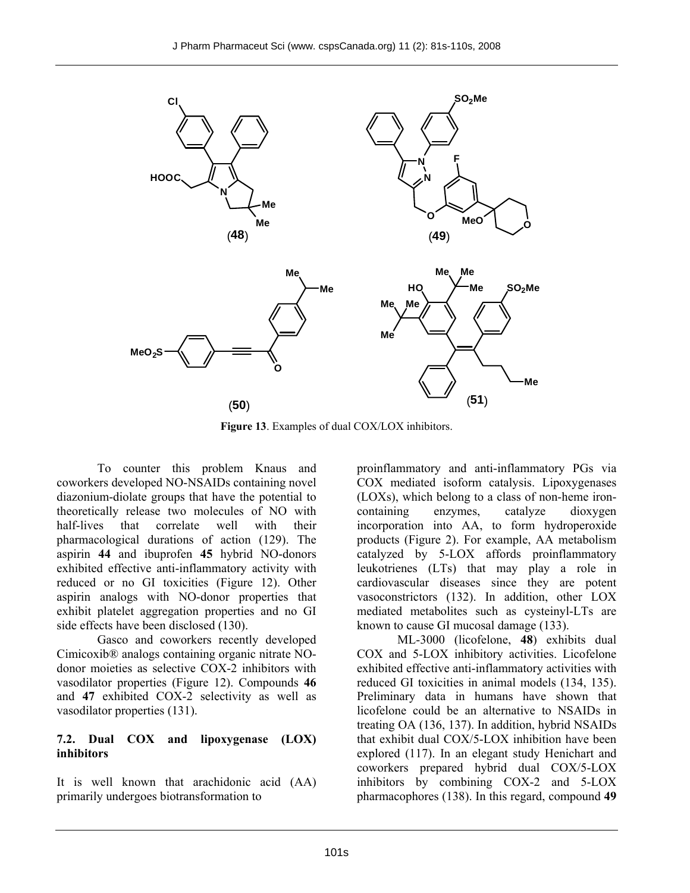

**Figure 13**. Examples of dual COX/LOX inhibitors.

To counter this problem Knaus and coworkers developed NO-NSAIDs containing novel diazonium-diolate groups that have the potential to theoretically release two molecules of NO with half-lives that correlate well with their pharmacological durations of action (129). The aspirin **44** and ibuprofen **45** hybrid NO-donors exhibited effective anti-inflammatory activity with reduced or no GI toxicities (Figure 12). Other aspirin analogs with NO-donor properties that exhibit platelet aggregation properties and no GI side effects have been disclosed (130).

Gasco and coworkers recently developed Cimicoxib® analogs containing organic nitrate NOdonor moieties as selective COX-2 inhibitors with vasodilator properties (Figure 12). Compounds **46** and **47** exhibited COX-2 selectivity as well as vasodilator properties (131).

#### **7.2. Dual COX and lipoxygenase (LOX) inhibitors**

It is well known that arachidonic acid (AA) primarily undergoes biotransformation to

proinflammatory and anti-inflammatory PGs via COX mediated isoform catalysis. Lipoxygenases (LOXs), which belong to a class of non-heme ironcontaining enzymes, catalyze dioxygen incorporation into AA, to form hydroperoxide products (Figure 2). For example, AA metabolism catalyzed by 5-LOX affords proinflammatory leukotrienes (LTs) that may play a role in cardiovascular diseases since they are potent vasoconstrictors (132). In addition, other LOX mediated metabolites such as cysteinyl-LTs are known to cause GI mucosal damage (133).

ML-3000 (licofelone, **48**) exhibits dual COX and 5-LOX inhibitory activities. Licofelone exhibited effective anti-inflammatory activities with reduced GI toxicities in animal models (134, 135). Preliminary data in humans have shown that licofelone could be an alternative to NSAIDs in treating OA (136, 137). In addition, hybrid NSAIDs that exhibit dual COX/5-LOX inhibition have been explored (117). In an elegant study Henichart and coworkers prepared hybrid dual COX/5-LOX inhibitors by combining COX-2 and 5-LOX pharmacophores (138). In this regard, compound **49**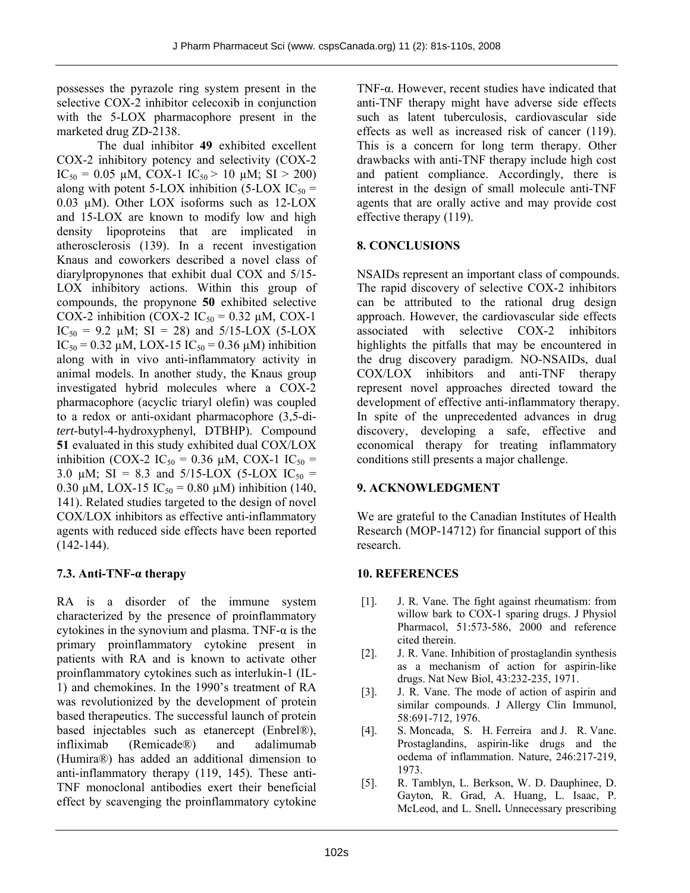possesses the pyrazole ring system present in the selective COX-2 inhibitor celecoxib in conjunction with the 5-LOX pharmacophore present in the marketed drug ZD-2138.

The dual inhibitor **49** exhibited excellent COX-2 inhibitory potency and selectivity (COX-2 IC<sub>50</sub> = 0.05 µM, COX-1 IC<sub>50</sub> > 10 µM; SI > 200) along with potent 5-LOX inhibition (5-LOX  $IC_{50}$  = 0.03 µM). Other LOX isoforms such as 12-LOX and 15-LOX are known to modify low and high density lipoproteins that are implicated in atherosclerosis (139). In a recent investigation Knaus and coworkers described a novel class of diarylpropynones that exhibit dual COX and 5/15- LOX inhibitory actions. Within this group of compounds, the propynone **50** exhibited selective COX-2 inhibition (COX-2  $IC_{50} = 0.32 \mu M$ , COX-1 IC<sub>50</sub> = 9.2  $\mu$ M; SI = 28) and 5/15-LOX (5-LOX IC<sub>50</sub> = 0.32 µM, LOX-15 IC<sub>50</sub> = 0.36 µM) inhibition along with in vivo anti-inflammatory activity in animal models. In another study, the Knaus group investigated hybrid molecules where a COX-2 pharmacophore (acyclic triaryl olefin) was coupled to a redox or anti-oxidant pharmacophore (3,5-di*tert*-butyl-4-hydroxyphenyl, DTBHP). Compound **51** evaluated in this study exhibited dual COX/LOX inhibition (COX-2 IC<sub>50</sub> = 0.36 µM, COX-1 IC<sub>50</sub> = 3.0  $\mu$ M; SI = 8.3 and 5/15-LOX (5-LOX IC<sub>50</sub> = 0.30 µM, LOX-15 IC<sub>50</sub> = 0.80 µM) inhibition (140, 141). Related studies targeted to the design of novel COX/LOX inhibitors as effective anti-inflammatory agents with reduced side effects have been reported  $(142-144)$ .

# **7.3. Anti-TNF-α therapy**

RA is a disorder of the immune system characterized by the presence of proinflammatory cytokines in the synovium and plasma. TNF- $\alpha$  is the primary proinflammatory cytokine present in patients with RA and is known to activate other proinflammatory cytokines such as interlukin-1 (IL-1) and chemokines. In the 1990's treatment of RA was revolutionized by the development of protein based therapeutics. The successful launch of protein based injectables such as etanercept (Enbrel®), infliximab (Remicade®) and adalimumab (Humira®) has added an additional dimension to anti-inflammatory therapy (119, 145). These anti-TNF monoclonal antibodies exert their beneficial effect by scavenging the proinflammatory cytokine

TNF-α. However, recent studies have indicated that anti-TNF therapy might have adverse side effects such as latent tuberculosis, cardiovascular side effects as well as increased risk of cancer (119). This is a concern for long term therapy. Other drawbacks with anti-TNF therapy include high cost and patient compliance. Accordingly, there is interest in the design of small molecule anti-TNF agents that are orally active and may provide cost effective therapy (119).

# **8. CONCLUSIONS**

NSAIDs represent an important class of compounds. The rapid discovery of selective COX-2 inhibitors can be attributed to the rational drug design approach. However, the cardiovascular side effects associated with selective COX-2 inhibitors highlights the pitfalls that may be encountered in the drug discovery paradigm. NO-NSAIDs, dual COX/LOX inhibitors and anti-TNF therapy represent novel approaches directed toward the development of effective anti-inflammatory therapy. In spite of the unprecedented advances in drug discovery, developing a safe, effective and economical therapy for treating inflammatory conditions still presents a major challenge.

#### **9. ACKNOWLEDGMENT**

We are grateful to the Canadian Institutes of Health Research (MOP-14712) for financial support of this research.

# **10. REFERENCES**

- [1]. J. R. Vane. The fight against rheumatism: from willow bark to COX-1 sparing drugs. J Physiol Pharmacol, 51:573-586, 2000 and reference cited therein.
- [2]. J. R. Vane. Inhibition of prostaglandin synthesis as a mechanism of action for aspirin-like drugs. Nat New Biol, 43:232-235, 1971.
- [3]. J. R. Vane. The mode of action of aspirin and similar compounds. J Allergy Clin Immunol, 58:691-712, 1976.
- [4]. S. Moncada, S. H. Ferreira and J. R. Vane. Prostaglandins, aspirin-like drugs and the oedema of inflammation. Nature, 246:217-219, 1973.
- [5]. R. Tamblyn, L. Berkson, W. D. Dauphinee, D. Gayton, R. Grad, A. Huang, L. Isaac, P. McLeod, and L. Snell**.** Unnecessary prescribing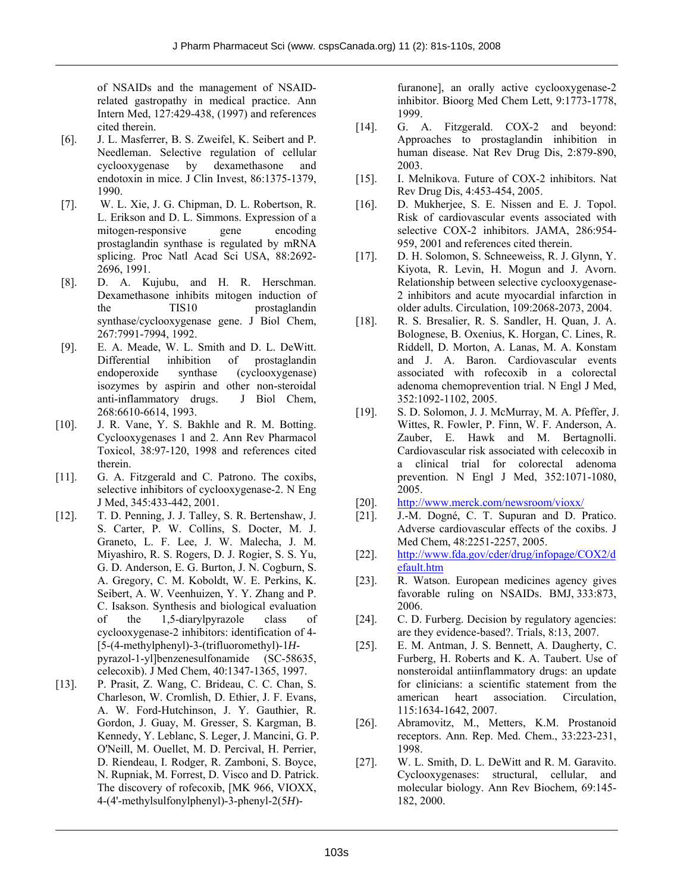of NSAIDs and the management of NSAIDrelated gastropathy in medical practice. Ann Intern Med, 127:429-438, (1997) and references cited therein.

- [6]. J. L. Masferrer, B. S. Zweifel, K. Seibert and P. Needleman. Selective regulation of cellular cyclooxygenase by dexamethasone and endotoxin in mice. J Clin Invest, 86:1375-1379, 1990.
- [7]. W. L. Xie, J. G. Chipman, D. L. Robertson, R. L. Erikson and D. L. Simmons. Expression of a mitogen-responsive gene encoding prostaglandin synthase is regulated by mRNA splicing. Proc Natl Acad Sci USA, 88:2692- 2696, 1991.
- [8]. D. A. Kujubu, and H. R. Herschman. Dexamethasone inhibits mitogen induction of the TIS10 prostaglandin synthase/cyclooxygenase gene. J Biol Chem, 267:7991-7994, 1992.
- [9]. E. A. Meade, W. L. Smith and D. L. DeWitt. Differential inhibition of prostaglandin endoperoxide synthase (cyclooxygenase) isozymes by aspirin and other non-steroidal anti-inflammatory drugs. J Biol Chem, 268:6610-6614, 1993.
- [10]. J. R. Vane, Y. S. Bakhle and R. M. Botting. Cyclooxygenases 1 and 2. Ann Rev Pharmacol Toxicol, 38:97-120, 1998 and references cited therein.
- [11]. G. A. Fitzgerald and C. Patrono. The coxibs, selective inhibitors of cyclooxygenase-2. N Eng J Med, 345:433-442, 2001.
- [12]. T. D. Penning, J. J. Talley, S. R. Bertenshaw, J. S. Carter, P. W. Collins, S. Docter, M. J. Graneto, L. F. Lee, J. W. Malecha, J. M. Miyashiro, R. S. Rogers, D. J. Rogier, S. S. Yu, G. D. Anderson, E. G. Burton, J. N. Cogburn, S. A. Gregory, C. M. Koboldt, W. E. Perkins, K. Seibert, A. W. Veenhuizen, Y. Y. Zhang and P. C. Isakson. Synthesis and biological evaluation of the 1,5-diarylpyrazole class of cyclooxygenase-2 inhibitors: identification of 4- [5-(4-methylphenyl)-3-(trifluoromethyl)-1*H*pyrazol-1-yl]benzenesulfonamide (SC-58635, celecoxib). J Med Chem, 40:1347-1365, 1997.
- [13]. P. Prasit, Z. Wang, C. Brideau, C. C. Chan, S. Charleson, W. Cromlish, D. Ethier, J. F. Evans, A. W. Ford-Hutchinson, J. Y. Gauthier, R. Gordon, J. Guay, M. Gresser, S. Kargman, B. Kennedy, Y. Leblanc, S. Leger, J. Mancini, G. P. O'Neill, M. Ouellet, M. D. Percival, H. Perrier, D. Riendeau, I. Rodger, R. Zamboni, S. Boyce, N. Rupniak, M. Forrest, D. Visco and D. Patrick. The discovery of rofecoxib, [MK 966, VIOXX, 4-(4'-methylsulfonylphenyl)-3-phenyl-2(5*H*)-

furanone], an orally active cyclooxygenase-2 inhibitor. Bioorg Med Chem Lett, 9:1773-1778, 1999.

- [14]. G. A. Fitzgerald. COX-2 and beyond: Approaches to prostaglandin inhibition in human disease. Nat Rev Drug Dis, 2:879-890, 2003.
- [15]. I. Melnikova. Future of COX-2 inhibitors. Nat Rev Drug Dis, 4:453-454, 2005.
- [16]. D. Mukherjee, S. E. Nissen and E. J. Topol. Risk of cardiovascular events associated with selective COX-2 inhibitors. JAMA, 286:954- 959, 2001 and references cited therein.
- [17]. D. H. Solomon, S. Schneeweiss, R. J. Glynn, Y. Kiyota, R. Levin, H. Mogun and J. Avorn. Relationship between selective cyclooxygenase-2 inhibitors and acute myocardial infarction in older adults. Circulation, 109:2068-2073, 2004.
- [18]. R. S. Bresalier, R. S. Sandler, H. Quan, J. A. Bolognese, B. Oxenius, K. Horgan, C. Lines, R. Riddell, D. Morton, A. Lanas, M. A. Konstam and J. A. Baron. Cardiovascular events associated with rofecoxib in a colorectal adenoma chemoprevention trial. N Engl J Med, 352:1092-1102, 2005.
- [19]. S. D. Solomon, J. J. McMurray, M. A. Pfeffer, J. Wittes, R. Fowler, P. Finn, W. F. Anderson, A. Zauber, E. Hawk and M. Bertagnolli. Cardiovascular risk associated with celecoxib in a clinical trial for colorectal adenoma prevention. N Engl J Med, 352:1071-1080, 2005.
- [20]. http://www.merck.com/newsroom/vioxx/
- [21]. J.-M. Dogné, C. T. Supuran and D. Pratico. Adverse cardiovascular effects of the coxibs. J Med Chem, 48:2251-2257, 2005.
- [22]. http://www.fda.gov/cder/drug/infopage/COX2/d efault.htm
- [23]. R. Watson. European medicines agency gives favorable ruling on NSAIDs. BMJ, 333:873, 2006.
- [24]. C. D. Furberg. Decision by regulatory agencies: are they evidence-based?. Trials, 8:13, 2007.
- [25]. E. M. Antman, J. S. Bennett, A. Daugherty, C. Furberg, H. Roberts and K. A. Taubert. Use of nonsteroidal antiinflammatory drugs: an update for clinicians: a scientific statement from the american heart association. Circulation, 115:1634-1642, 2007.
- [26]. Abramovitz, M., Metters, K.M. Prostanoid receptors. Ann. Rep. Med. Chem., 33:223-231, 1998.
- [27]. W. L. Smith, D. L. DeWitt and R. M. Garavito. Cyclooxygenases: structural, cellular, and molecular biology. Ann Rev Biochem, 69:145- 182, 2000.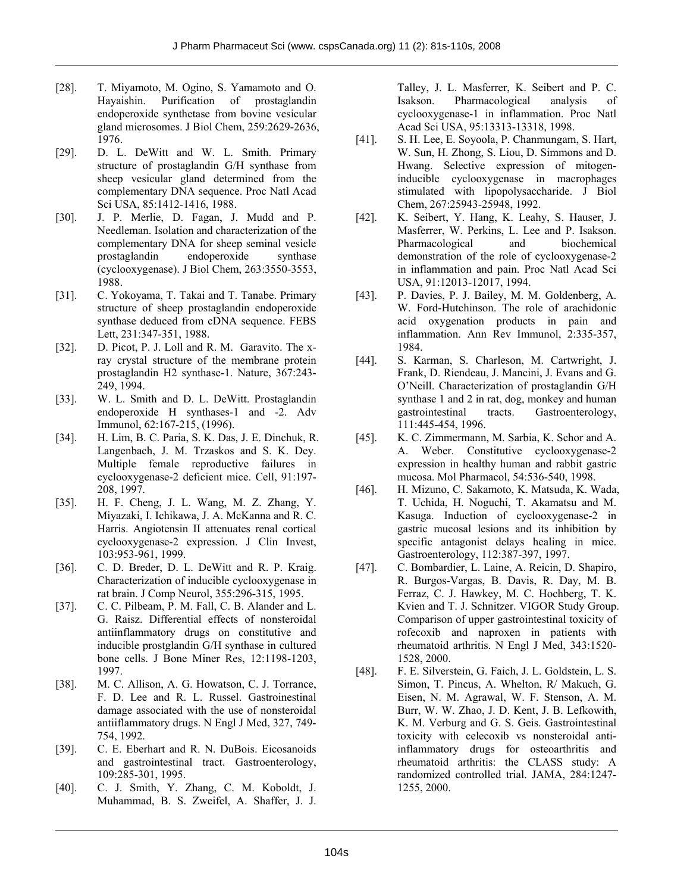- [28]. T. Miyamoto, M. Ogino, S. Yamamoto and O. Hayaishin. Purification of prostaglandin endoperoxide synthetase from bovine vesicular gland microsomes. J Biol Chem, 259:2629-2636, 1976.
- [29]. D. L. DeWitt and W. L. Smith. Primary structure of prostaglandin G/H synthase from sheep vesicular gland determined from the complementary DNA sequence. Proc Natl Acad Sci USA, 85:1412-1416, 1988.
- [30]. J. P. Merlie, D. Fagan, J. Mudd and P. Needleman. Isolation and characterization of the complementary DNA for sheep seminal vesicle prostaglandin endoperoxide synthase (cyclooxygenase). J Biol Chem, 263:3550-3553, 1988.
- [31]. C. Yokoyama, T. Takai and T. Tanabe. Primary structure of sheep prostaglandin endoperoxide synthase deduced from cDNA sequence. FEBS Lett, 231:347-351, 1988.
- [32]. D. Picot, P. J. Loll and R. M. Garavito. The xray crystal structure of the membrane protein prostaglandin H2 synthase-1. Nature, 367:243- 249, 1994.
- [33]. W. L. Smith and D. L. DeWitt. Prostaglandin endoperoxide H synthases-1 and -2. Adv Immunol, 62:167-215, (1996).
- [34]. H. Lim, B. C. Paria, S. K. Das, J. E. Dinchuk, R. Langenbach, J. M. Trzaskos and S. K. Dey. Multiple female reproductive failures in cyclooxygenase-2 deficient mice. Cell, 91:197- 208, 1997.
- [35]. H. F. Cheng, J. L. Wang, M. Z. Zhang, Y. Miyazaki, I. Ichikawa, J. A. McKanna and R. C. Harris. Angiotensin II attenuates renal cortical cyclooxygenase-2 expression. J Clin Invest, 103:953-961, 1999.
- [36]. C. D. Breder, D. L. DeWitt and R. P. Kraig. Characterization of inducible cyclooxygenase in rat brain. J Comp Neurol, 355:296-315, 1995.
- [37]. C. C. Pilbeam, P. M. Fall, C. B. Alander and L. G. Raisz. Differential effects of nonsteroidal antiinflammatory drugs on constitutive and inducible prostglandin G/H synthase in cultured bone cells. J Bone Miner Res, 12:1198-1203, 1997.
- [38]. M. C. Allison, A. G. Howatson, C. J. Torrance, F. D. Lee and R. L. Russel. Gastroinestinal damage associated with the use of nonsteroidal antiiflammatory drugs. N Engl J Med, 327, 749- 754, 1992.
- [39]. C. E. Eberhart and R. N. DuBois. Eicosanoids and gastrointestinal tract. Gastroenterology, 109:285-301, 1995.
- [40]. C. J. Smith, Y. Zhang, C. M. Koboldt, J. Muhammad, B. S. Zweifel, A. Shaffer, J. J.

Talley, J. L. Masferrer, K. Seibert and P. C. Isakson. Pharmacological analysis of cyclooxygenase-1 in inflammation. Proc Natl Acad Sci USA, 95:13313-13318, 1998.

- [41]. S. H. Lee, E. Soyoola, P. Chanmungam, S. Hart, W. Sun, H. Zhong, S. Liou, D. Simmons and D. Hwang. Selective expression of mitogeninducible cyclooxygenase in macrophages stimulated with lipopolysaccharide. J Biol Chem, 267:25943-25948, 1992.
- [42]. K. Seibert, Y. Hang, K. Leahy, S. Hauser, J. Masferrer, W. Perkins, L. Lee and P. Isakson. Pharmacological and biochemical demonstration of the role of cyclooxygenase-2 in inflammation and pain. Proc Natl Acad Sci USA, 91:12013-12017, 1994.
- [43]. P. Davies, P. J. Bailey, M. M. Goldenberg, A. W. Ford-Hutchinson. The role of arachidonic acid oxygenation products in pain and inflammation. Ann Rev Immunol, 2:335-357, 1984.
- [44]. S. Karman, S. Charleson, M. Cartwright, J. Frank, D. Riendeau, J. Mancini, J. Evans and G. O'Neill. Characterization of prostaglandin G/H synthase 1 and 2 in rat, dog, monkey and human gastrointestinal tracts. Gastroenterology, 111:445-454, 1996.
- [45]. K. C. Zimmermann, M. Sarbia, K. Schor and A. A. Weber. Constitutive cyclooxygenase-2 expression in healthy human and rabbit gastric mucosa. Mol Pharmacol, 54:536-540, 1998.
- [46]. H. Mizuno, C. Sakamoto, K. Matsuda, K. Wada, T. Uchida, H. Noguchi, T. Akamatsu and M. Kasuga. Induction of cyclooxygenase-2 in gastric mucosal lesions and its inhibition by specific antagonist delays healing in mice. Gastroenterology, 112:387-397, 1997.
- [47]. C. Bombardier, L. Laine, A. Reicin, D. Shapiro, R. Burgos-Vargas, B. Davis, R. Day, M. B. Ferraz, C. J. Hawkey, M. C. Hochberg, T. K. Kvien and T. J. Schnitzer. VIGOR Study Group. Comparison of upper gastrointestinal toxicity of rofecoxib and naproxen in patients with rheumatoid arthritis. N Engl J Med, 343:1520- 1528, 2000.
- [48]. F. E. Silverstein, G. Faich, J. L. Goldstein, L. S. Simon, T. Pincus, A. Whelton, R/ Makuch, G. Eisen, N. M. Agrawal, W. F. Stenson, A. M. Burr, W. W. Zhao, J. D. Kent, J. B. Lefkowith, K. M. Verburg and G. S. Geis. Gastrointestinal toxicity with celecoxib vs nonsteroidal antiinflammatory drugs for osteoarthritis and rheumatoid arthritis: the CLASS study: A randomized controlled trial. JAMA, 284:1247- 1255, 2000.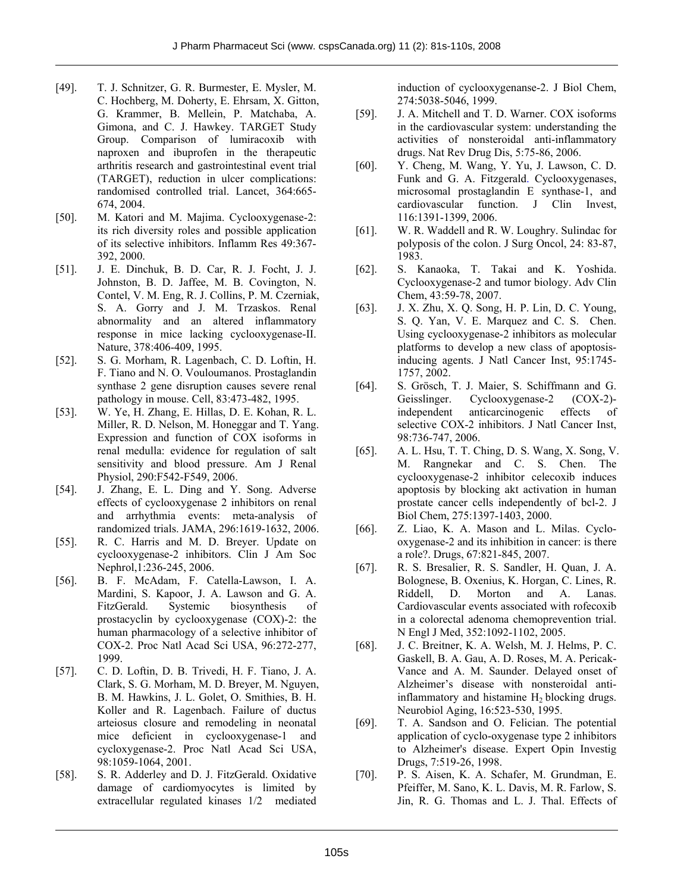- [49]. T. J. Schnitzer, G. R. Burmester, E. Mysler, M. C. Hochberg, M. Doherty, E. Ehrsam, X. Gitton, G. Krammer, B. Mellein, P. Matchaba, A. Gimona, and C. J. Hawkey. TARGET Study Group. Comparison of lumiracoxib with naproxen and ibuprofen in the therapeutic arthritis research and gastrointestinal event trial (TARGET), reduction in ulcer complications: randomised controlled trial. Lancet, 364:665- 674, 2004.
- [50]. M. Katori and M. Majima. Cyclooxygenase-2: its rich diversity roles and possible application of its selective inhibitors. Inflamm Res 49:367- 392, 2000.
- [51]. J. E. Dinchuk, B. D. Car, R. J. Focht, J. J. Johnston, B. D. Jaffee, M. B. Covington, N. Contel, V. M. Eng, R. J. Collins, P. M. Czerniak, S. A. Gorry and J. M. Trzaskos. Renal abnormality and an altered inflammatory response in mice lacking cyclooxygenase-II. Nature, 378:406-409, 1995.
- [52]. S. G. Morham, R. Lagenbach, C. D. Loftin, H. F. Tiano and N. O. Vouloumanos. Prostaglandin synthase 2 gene disruption causes severe renal pathology in mouse. Cell, 83:473-482, 1995.
- [53]. W. Ye, H. Zhang, E. Hillas, D. E. Kohan, R. L. Miller, R. D. Nelson, M. Honeggar and T. Yang. Expression and function of COX isoforms in renal medulla: evidence for regulation of salt sensitivity and blood pressure. Am J Renal Physiol, 290:F542-F549, 2006.
- [54]. J. Zhang, E. L. Ding and Y. Song. Adverse effects of cyclooxygenase 2 inhibitors on renal and arrhythmia events: meta-analysis of randomized trials. JAMA, 296:1619-1632, 2006.
- [55]. R. C. Harris and M. D. Breyer. Update on cyclooxygenase-2 inhibitors. Clin J Am Soc Nephrol,1:236-245, 2006.
- [56]. B. F. McAdam, F. Catella-Lawson, I. A. Mardini, S. Kapoor, J. A. Lawson and G. A. FitzGerald. Systemic biosynthesis of prostacyclin by cyclooxygenase (COX)-2: the human pharmacology of a selective inhibitor of COX-2. Proc Natl Acad Sci USA, 96:272-277, 1999.
- [57]. C. D. Loftin, D. B. Trivedi, H. F. Tiano, J. A. Clark, S. G. Morham, M. D. Breyer, M. Nguyen, B. M. Hawkins, J. L. Golet, O. Smithies, B. H. Koller and R. Lagenbach. Failure of ductus arteiosus closure and remodeling in neonatal mice deficient in cyclooxygenase-1 and cycloxygenase-2. Proc Natl Acad Sci USA, 98:1059-1064, 2001.
- [58]. S. R. Adderley and D. J. FitzGerald. Oxidative damage of cardiomyocytes is limited by extracellular regulated kinases 1/2 mediated

induction of cyclooxygenanse-2. J Biol Chem, 274:5038-5046, 1999.

- [59]. J. A. Mitchell and T. D. Warner. COX isoforms in the cardiovascular system: understanding the activities of nonsteroidal anti-inflammatory drugs. Nat Rev Drug Dis, 5:75-86, 2006.
- [60]. Y. Cheng, M. Wang, Y. Yu, J. Lawson, C. D. Funk and G. A. Fitzgerald. Cyclooxygenases, microsomal prostaglandin E synthase-1, and cardiovascular function. J Clin Invest, 116:1391-1399, 2006.
- [61]. W. R. Waddell and R. W. Loughry. Sulindac for polyposis of the colon. J Surg Oncol, 24: 83-87, 1983.
- [62]. S. Kanaoka, T. Takai and K. Yoshida. Cyclooxygenase-2 and tumor biology. Adv Clin Chem, 43:59-78, 2007.
- [63]. J. X. Zhu, X. Q. Song, H. P. Lin, D. C. Young, S. Q. Yan, V. E. Marquez and C. S. Chen. Using cyclooxygenase-2 inhibitors as molecular platforms to develop a new class of apoptosisinducing agents. J Natl Cancer Inst, 95:1745- 1757, 2002.
- [64]. S. Grösch, T. J. Maier, S. Schiffmann and G. Geisslinger. Cyclooxygenase-2 (COX-2) independent anticarcinogenic effects of selective COX-2 inhibitors. J Natl Cancer Inst, 98:736-747, 2006.
- [65]. A. L. Hsu, T. T. Ching, D. S. Wang, X. Song, V. M. Rangnekar and C. S. Chen. The cyclooxygenase-2 inhibitor celecoxib induces apoptosis by blocking akt activation in human prostate cancer cells independently of bcl-2. J Biol Chem, 275:1397-1403, 2000.
- [66]. Z. Liao, K. A. Mason and L. Milas. Cyclooxygenase-2 and its inhibition in cancer: is there a role?. Drugs, 67:821-845, 2007.
- [67]. R. S. Bresalier, R. S. Sandler, H. Quan, J. A. Bolognese, B. Oxenius, K. Horgan, C. Lines, R. Riddell, D. Morton and A. Lanas. Cardiovascular events associated with rofecoxib in a colorectal adenoma chemoprevention trial. N Engl J Med, 352:1092-1102, 2005.
- [68]. J. C. Breitner, K. A. Welsh, M. J. Helms, P. C. Gaskell, B. A. Gau, A. D. Roses, M. A. Pericak-Vance and A. M. Saunder. Delayed onset of Alzheimer's disease with nonsteroidal antiinflammatory and histamine  $H<sub>2</sub>$  blocking drugs. Neurobiol Aging, 16:523-530, 1995.
- [69]. T. A. Sandson and O. Felician. The potential application of cyclo-oxygenase type 2 inhibitors to Alzheimer's disease. Expert Opin Investig Drugs, 7:519-26, 1998.
- [70]. P. S. Aisen, K. A. Schafer, M. Grundman, E. Pfeiffer, M. Sano, K. L. Davis, M. R. Farlow, S. Jin, R. G. Thomas and L. J. Thal. Effects of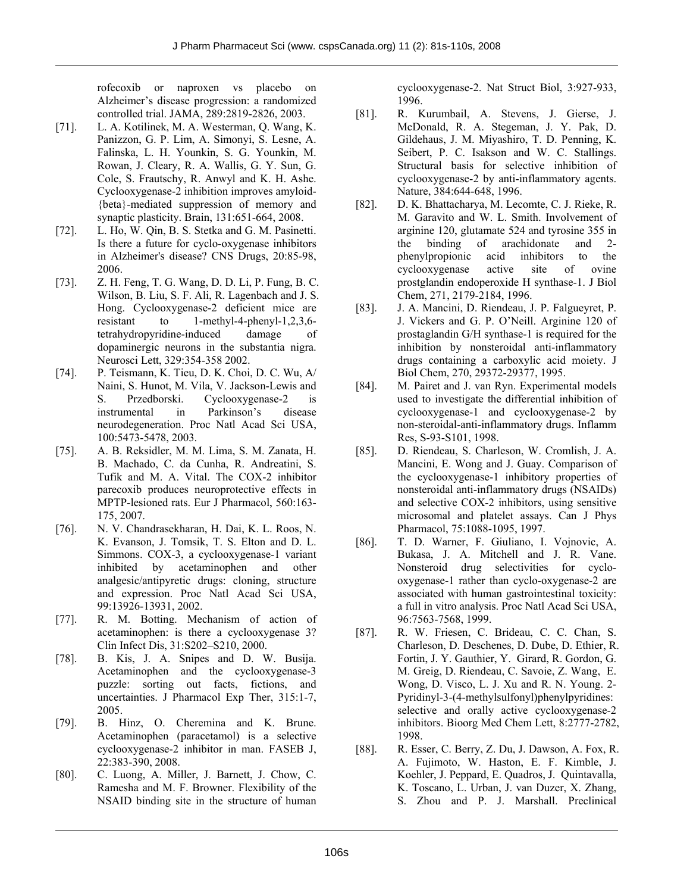rofecoxib or naproxen vs placebo on Alzheimer's disease progression: a randomized controlled trial. JAMA, 289:2819-2826, 2003.

- [71]. L. A. Kotilinek, M. A. Westerman, Q. Wang, K. Panizzon, G. P. Lim, A. Simonyi, S. Lesne, A. Falinska, L. H. Younkin, S. G. Younkin, M. Rowan, J. Cleary, R. A. Wallis, G. Y. Sun, G. Cole, S. Frautschy, R. Anwyl and K. H. Ashe. Cyclooxygenase-2 inhibition improves amyloid- {beta}-mediated suppression of memory and synaptic plasticity. Brain, 131:651-664, 2008.
- [72]. L. Ho, W. Qin, B. S. Stetka and G. M. Pasinetti. Is there a future for cyclo-oxygenase inhibitors in Alzheimer's disease? CNS Drugs, 20:85-98, 2006.
- [73]. Z. H. Feng, T. G. Wang, D. D. Li, P. Fung, B. C. Wilson, B. Liu, S. F. Ali, R. Lagenbach and J. S. Hong. Cyclooxygenase-2 deficient mice are resistant to 1-methyl-4-phenyl-1,2,3,6 tetrahydropyridine-induced damage of dopaminergic neurons in the substantia nigra. Neurosci Lett, 329:354-358 2002.
- [74]. P. Teismann, K. Tieu, D. K. Choi, D. C. Wu, A/ Naini, S. Hunot, M. Vila, V. Jackson-Lewis and S. Przedborski. Cyclooxygenase-2 is instrumental in Parkinson's disease neurodegeneration. Proc Natl Acad Sci USA, 100:5473-5478, 2003.
- [75]. A. B. Reksidler, M. M. Lima, S. M. Zanata, H. B. Machado, C. da Cunha, R. Andreatini, S. Tufik and M. A. Vital. The COX-2 inhibitor parecoxib produces neuroprotective effects in MPTP-lesioned rats. Eur J Pharmacol, 560:163- 175, 2007.
- [76]. N. V. Chandrasekharan, H. Dai, K. L. Roos, N. K. Evanson, J. Tomsik, T. S. Elton and D. L. Simmons. COX-3, a cyclooxygenase-1 variant inhibited by acetaminophen and other analgesic/antipyretic drugs: cloning, structure and expression. Proc Natl Acad Sci USA, 99:13926-13931, 2002.
- [77]. R. M. Botting. Mechanism of action of acetaminophen: is there a cyclooxygenase 3? Clin Infect Dis, 31:S202–S210, 2000.
- [78]. B. Kis, J. A. Snipes and D. W. Busija. Acetaminophen and the cyclooxygenase-3 puzzle: sorting out facts, fictions, and uncertainties. J Pharmacol Exp Ther, 315:1-7, 2005.
- [79]. B. Hinz, O. Cheremina and K. Brune. Acetaminophen (paracetamol) is a selective cyclooxygenase-2 inhibitor in man. FASEB J, 22:383-390, 2008.
- [80]. C. Luong, A. Miller, J. Barnett, J. Chow, C. Ramesha and M. F. Browner. Flexibility of the NSAID binding site in the structure of human

cyclooxygenase-2. Nat Struct Biol, 3:927-933, 1996.

- [81]. R. Kurumbail, A. Stevens, J. Gierse, J. McDonald, R. A. Stegeman, J. Y. Pak, D. Gildehaus, J. M. Miyashiro, T. D. Penning, K. Seibert, P. C. Isakson and W. C. Stallings. Structural basis for selective inhibition of cyclooxygenase-2 by anti-inflammatory agents. Nature, 384:644-648, 1996.
- [82]. D. K. Bhattacharya, M. Lecomte, C. J. Rieke, R. M. Garavito and W. L. Smith. Involvement of arginine 120, glutamate 524 and tyrosine 355 in the binding of arachidonate and 2 phenylpropionic acid inhibitors to the cyclooxygenase active site of ovine prostglandin endoperoxide H synthase-1. J Biol Chem, 271, 2179-2184, 1996.
- [83]. J. A. Mancini, D. Riendeau, J. P. Falgueyret, P. J. Vickers and G. P. O'Neill. Arginine 120 of prostaglandin G/H synthase-1 is required for the inhibition by nonsteroidal anti-inflammatory drugs containing a carboxylic acid moiety. J Biol Chem, 270, 29372-29377, 1995.
- [84]. M. Pairet and J. van Ryn. Experimental models used to investigate the differential inhibition of cyclooxygenase-1 and cyclooxygenase-2 by non-steroidal-anti-inflammatory drugs. Inflamm Res, S-93-S101, 1998.
- [85]. D. Riendeau, S. Charleson, W. Cromlish, J. A. Mancini, E. Wong and J. Guay. Comparison of the cyclooxygenase-1 inhibitory properties of nonsteroidal anti-inflammatory drugs (NSAIDs) and selective COX-2 inhibitors, using sensitive microsomal and platelet assays. Can J Phys Pharmacol, 75:1088-1095, 1997.
- [86]. T. D. Warner, F. Giuliano, I. Vojnovic, A. Bukasa, J. A. Mitchell and J. R. Vane. Nonsteroid drug selectivities for cyclooxygenase-1 rather than cyclo-oxygenase-2 are associated with human gastrointestinal toxicity: a full in vitro analysis. Proc Natl Acad Sci USA, 96:7563-7568, 1999.
- [87]. R. W. Friesen, C. Brideau, C. C. Chan, S. Charleson, D. Deschenes, D. Dube, D. Ethier, R. Fortin, J. Y. Gauthier, Y. Girard, R. Gordon, G. M. Greig, D. Riendeau, C. Savoie, Z. Wang, E. Wong, D. Visco, L. J. Xu and R. N. Young. 2- Pyridinyl-3-(4-methylsulfonyl)phenylpyridines: selective and orally active cyclooxygenase-2 inhibitors. Bioorg Med Chem Lett, 8:2777-2782, 1998.
- [88]. R. Esser, C. Berry, Z. Du, J. Dawson, A. Fox, R. A. Fujimoto, W. Haston, E. F. Kimble, J. Koehler, J. Peppard, E. Quadros, J. Quintavalla, K. Toscano, L. Urban, J. van Duzer, X. Zhang, S. Zhou and P. J. Marshall. Preclinical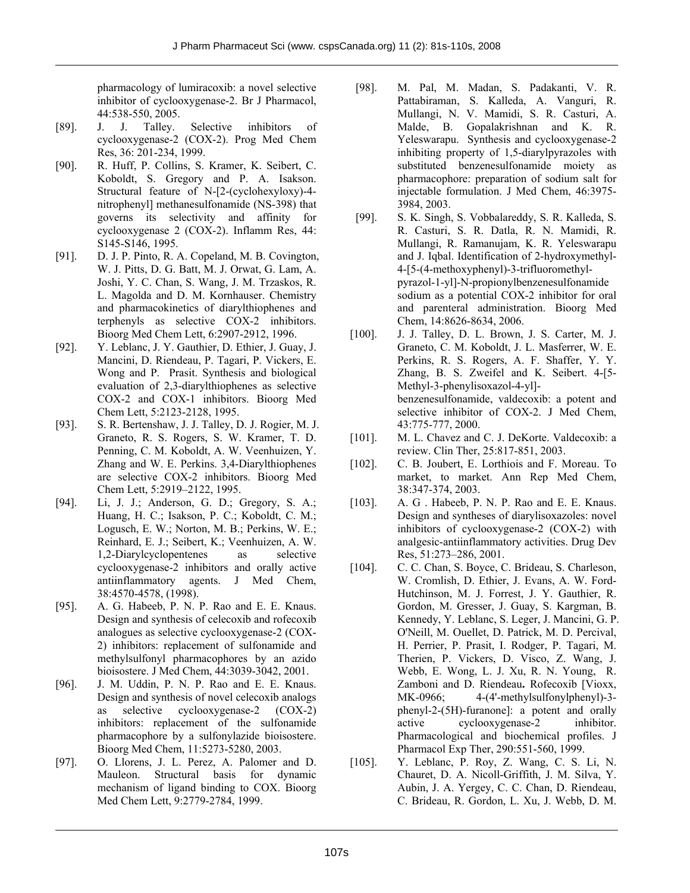pharmacology of lumiracoxib: a novel selective inhibitor of cyclooxygenase-2. Br J Pharmacol, 44:538-550, 2005.

- [89]. J. J. Talley. Selective inhibitors of cyclooxygenase-2 (COX-2). Prog Med Chem Res, 36: 201-234, 1999.
- [90]. R. Huff, P. Collins, S. Kramer, K. Seibert, C. Koboldt, S. Gregory and P. A. Isakson. Structural feature of N-[2-(cyclohexyloxy)-4 nitrophenyl] methanesulfonamide (NS-398) that governs its selectivity and affinity for cyclooxygenase 2 (COX-2). Inflamm Res, 44: S145-S146, 1995.
- [91]. D. J. P. Pinto, R. A. Copeland, M. B. Covington, W. J. Pitts, D. G. Batt, M. J. Orwat, G. Lam, A. Joshi, Y. C. Chan, S. Wang, J. M. Trzaskos, R. L. Magolda and D. M. Kornhauser. Chemistry and pharmacokinetics of diarylthiophenes and terphenyls as selective COX-2 inhibitors. Bioorg Med Chem Lett, 6:2907-2912, 1996.
- [92]. Y. Leblanc, J. Y. Gauthier, D. Ethier, J. Guay, J. Mancini, D. Riendeau, P. Tagari, P. Vickers, E. Wong and P. Prasit. Synthesis and biological evaluation of 2,3-diarylthiophenes as selective COX-2 and COX-1 inhibitors. Bioorg Med Chem Lett, 5:2123-2128, 1995.
- [93]. S. R. Bertenshaw, J. J. Talley, D. J. Rogier, M. J. Graneto, R. S. Rogers, S. W. Kramer, T. D. Penning, C. M. Koboldt, A. W. Veenhuizen, Y. Zhang and W. E. Perkins. 3,4-Diarylthiophenes are selective COX-2 inhibitors. Bioorg Med Chem Lett, 5:2919–2122, 1995.
- [94]. Li, J. J.; Anderson, G. D.; Gregory, S. A.; Huang, H. C.; Isakson, P. C.; Koboldt, C. M.; Logusch, E. W.; Norton, M. B.; Perkins, W. E.; Reinhard, E. J.; Seibert, K.; Veenhuizen, A. W. 1,2-Diarylcyclopentenes as selective cyclooxygenase-2 inhibitors and orally active antiinflammatory agents. J Med Chem, 38:4570-4578, (1998).
- [95]. A. G. Habeeb, P. N. P. Rao and E. E. Knaus. Design and synthesis of celecoxib and rofecoxib analogues as selective cyclooxygenase-2 (COX-2) inhibitors: replacement of sulfonamide and methylsulfonyl pharmacophores by an azido bioisostere. J Med Chem, 44:3039-3042, 2001.
- [96]. J. M. Uddin, P. N. P. Rao and E. E. Knaus. Design and synthesis of novel celecoxib analogs as selective cyclooxygenase-2 (COX-2) inhibitors: replacement of the sulfonamide pharmacophore by a sulfonylazide bioisostere. Bioorg Med Chem, 11:5273-5280, 2003.
- [97]. O. Llorens, J. L. Perez, A. Palomer and D. Mauleon. Structural basis for dynamic mechanism of ligand binding to COX. Bioorg Med Chem Lett, 9:2779-2784, 1999.
- [98]. M. Pal, M. Madan, S. Padakanti, V. R. Pattabiraman, S. Kalleda, A. Vanguri, R. Mullangi, N. V. Mamidi, S. R. Casturi, A. Malde, B. Gopalakrishnan and K. R. Yeleswarapu. Synthesis and cyclooxygenase-2 inhibiting property of 1,5-diarylpyrazoles with substituted benzenesulfonamide moiety as pharmacophore: preparation of sodium salt for injectable formulation. J Med Chem, 46:3975- 3984, 2003.
- [99]. S. K. Singh, S. Vobbalareddy, S. R. Kalleda, S. R. Casturi, S. R. Datla, R. N. Mamidi, R. Mullangi, R. Ramanujam, K. R. Yeleswarapu and J. Iqbal. Identification of 2-hydroxymethyl-4-[5-(4-methoxyphenyl)-3-trifluoromethylpyrazol-1-yl]-N-propionylbenzenesulfonamide sodium as a potential COX-2 inhibitor for oral and parenteral administration. Bioorg Med Chem, 14:8626-8634, 2006.
- [100]. J. J. Talley, D. L. Brown, J. S. Carter, M. J. Graneto, C. M. Koboldt, J. L. Masferrer, W. E. Perkins, R. S. Rogers, A. F. Shaffer, Y. Y. Zhang, B. S. Zweifel and K. Seibert. 4-[5- Methyl-3-phenylisoxazol-4-yl] benzenesulfonamide, valdecoxib: a potent and selective inhibitor of COX-2. J Med Chem, 43:775-777, 2000.
- [101]. M. L. Chavez and C. J. DeKorte. Valdecoxib: a review. Clin Ther, 25:817-851, 2003.
- [102]. C. B. Joubert, E. Lorthiois and F. Moreau. To market, to market. Ann Rep Med Chem, 38:347-374, 2003.
- [103]. A. G . Habeeb, P. N. P. Rao and E. E. Knaus. Design and syntheses of diarylisoxazoles: novel inhibitors of cyclooxygenase-2 (COX-2) with analgesic-antiinflammatory activities. Drug Dev Res, 51:273–286, 2001.
- [104]. C. C. Chan, S. Boyce, C. Brideau, S. Charleson, W. Cromlish, D. Ethier, J. Evans, A. W. Ford-Hutchinson, M. J. Forrest, J. Y. Gauthier, R. Gordon, M. Gresser, J. Guay, S. Kargman, B. Kennedy, Y. Leblanc, S. Leger, J. Mancini, G. P. O'Neill, M. Ouellet, D. Patrick, M. D. Percival, H. Perrier, P. Prasit, I. Rodger, P. Tagari, M. Therien, P. Vickers, D. Visco, Z. Wang, J. Webb, E. Wong, L. J. Xu, R. N. Young, R. Zamboni and D. Riendeau**.** Rofecoxib [Vioxx, MK-0966; 4-(4'-methylsulfonylphenyl)-3 phenyl-2-(5H)-furanone]: a potent and orally active cyclooxygenase-2 inhibitor. Pharmacological and biochemical profiles. J Pharmacol Exp Ther, 290:551-560, 1999.
- [105]. Y. Leblanc, P. Roy, Z. Wang, C. S. Li, N. Chauret, D. A. Nicoll-Griffith, J. M. Silva, Y. Aubin, J. A. Yergey, C. C. Chan, D. Riendeau, C. Brideau, R. Gordon, L. Xu, J. Webb, D. M.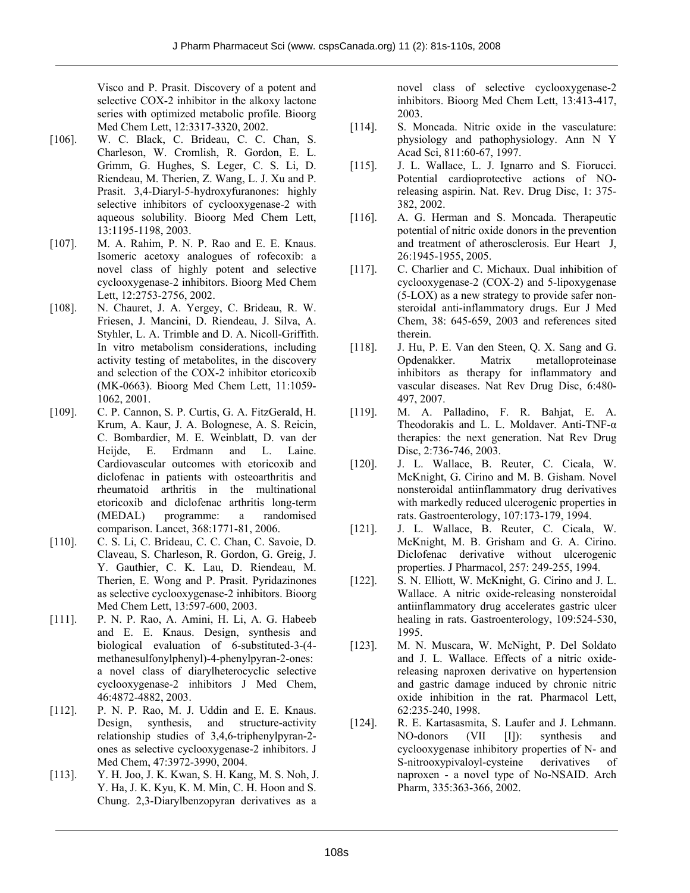Visco and P. Prasit. Discovery of a potent and selective COX-2 inhibitor in the alkoxy lactone series with optimized metabolic profile. Bioorg Med Chem Lett, 12:3317-3320, 2002.

- [106]. W. C. Black, C. Brideau, C. C. Chan, S. Charleson, W. Cromlish, R. Gordon, E. L. Grimm, G. Hughes, S. Leger, C. S. Li, D. Riendeau, M. Therien, Z. Wang, L. J. Xu and P. Prasit. 3,4-Diaryl-5-hydroxyfuranones: highly selective inhibitors of cyclooxygenase-2 with aqueous solubility. Bioorg Med Chem Lett, 13:1195-1198, 2003.
- [107]. M. A. Rahim, P. N. P. Rao and E. E. Knaus. Isomeric acetoxy analogues of rofecoxib: a novel class of highly potent and selective cyclooxygenase-2 inhibitors. Bioorg Med Chem Lett, 12:2753-2756, 2002.
- [108]. N. Chauret, J. A. Yergey, C. Brideau, R. W. Friesen, J. Mancini, D. Riendeau, J. Silva, A. Styhler, L. A. Trimble and D. A. Nicoll-Griffith. In vitro metabolism considerations, including activity testing of metabolites, in the discovery and selection of the COX-2 inhibitor etoricoxib (MK-0663). Bioorg Med Chem Lett, 11:1059- 1062, 2001.
- [109]. C. P. Cannon, S. P. Curtis, G. A. FitzGerald, H. Krum, A. Kaur, J. A. Bolognese, A. S. Reicin, C. Bombardier, M. E. Weinblatt, D. van der Heijde, E. Erdmann and L. Laine. Cardiovascular outcomes with etoricoxib and diclofenac in patients with osteoarthritis and rheumatoid arthritis in the multinational etoricoxib and diclofenac arthritis long-term (MEDAL) programme: a randomised comparison. Lancet, 368:1771-81, 2006.
- [110]. C. S. Li, C. Brideau, C. C. Chan, C. Savoie, D. Claveau, S. Charleson, R. Gordon, G. Greig, J. Y. Gauthier, C. K. Lau, D. Riendeau, M. Therien, E. Wong and P. Prasit. Pyridazinones as selective cyclooxygenase-2 inhibitors. Bioorg Med Chem Lett, 13:597-600, 2003.
- [111]. P. N. P. Rao, A. Amini, H. Li, A. G. Habeeb and E. E. Knaus. Design, synthesis and biological evaluation of 6-substituted-3-(4 methanesulfonylphenyl)-4-phenylpyran-2-ones: a novel class of diarylheterocyclic selective cyclooxygenase-2 inhibitors J Med Chem, 46:4872-4882, 2003.
- [112]. P. N. P. Rao, M. J. Uddin and E. E. Knaus. Design, synthesis, and structure-activity relationship studies of 3,4,6-triphenylpyran-2 ones as selective cyclooxygenase-2 inhibitors. J Med Chem, 47:3972-3990, 2004.
- [113]. Y. H. Joo, J. K. Kwan, S. H. Kang, M. S. Noh, J. Y. Ha, J. K. Kyu, K. M. Min, C. H. Hoon and S. Chung. 2,3-Diarylbenzopyran derivatives as a

novel class of selective cyclooxygenase-2 inhibitors. Bioorg Med Chem Lett, 13:413-417, 2003.

- [114]. S. Moncada. Nitric oxide in the vasculature: physiology and pathophysiology. Ann N Y Acad Sci, 811:60-67, 1997.
- [115]. J. L. Wallace, L. J. Ignarro and S. Fiorucci. Potential cardioprotective actions of NOreleasing aspirin. Nat. Rev. Drug Disc, 1: 375- 382, 2002.
- [116]. A. G. Herman and S. Moncada. Therapeutic potential of nitric oxide donors in the prevention and treatment of atherosclerosis. Eur Heart J, 26:1945-1955, 2005.
- [117]. C. Charlier and C. Michaux. Dual inhibition of cyclooxygenase-2 (COX-2) and 5-lipoxygenase (5-LOX) as a new strategy to provide safer nonsteroidal anti-inflammatory drugs. Eur J Med Chem, 38: 645-659, 2003 and references sited therein.
- [118]. J. Hu, P. E. Van den Steen, Q. X. Sang and G. Opdenakker. Matrix metalloproteinase inhibitors as therapy for inflammatory and vascular diseases. Nat Rev Drug Disc, 6:480- 497, 2007.
- [119]. M. A. Palladino, F. R. Bahjat, E. A. Theodorakis and L. L. Moldaver. Anti-TNF-α therapies: the next generation. Nat Rev Drug Disc, 2:736-746, 2003.
- [120]. J. L. Wallace, B. Reuter, C. Cicala, W. McKnight, G. Cirino and M. B. Gisham. Novel nonsteroidal antiinflammatory drug derivatives with markedly reduced ulcerogenic properties in rats. Gastroenterology, 107:173-179, 1994.
- [121]. J. L. Wallace, B. Reuter, C. Cicala, W. McKnight, M. B. Grisham and G. A. Cirino. Diclofenac derivative without ulcerogenic properties. J Pharmacol, 257: 249-255, 1994.
- [122]. S. N. Elliott, W. McKnight, G. Cirino and J. L. Wallace. A nitric oxide-releasing nonsteroidal antiinflammatory drug accelerates gastric ulcer healing in rats. Gastroenterology, 109:524-530, 1995.
- [123]. M. N. Muscara, W. McNight, P. Del Soldato and J. L. Wallace. Effects of a nitric oxidereleasing naproxen derivative on hypertension and gastric damage induced by chronic nitric oxide inhibition in the rat. Pharmacol Lett, 62:235-240, 1998.
- [124]. R. E. Kartasasmita, S. Laufer and J. Lehmann. NO-donors (VII [I]): synthesis and cyclooxygenase inhibitory properties of N- and S-nitrooxypivaloyl-cysteine derivatives of naproxen - a novel type of No-NSAID. Arch Pharm, 335:363-366, 2002.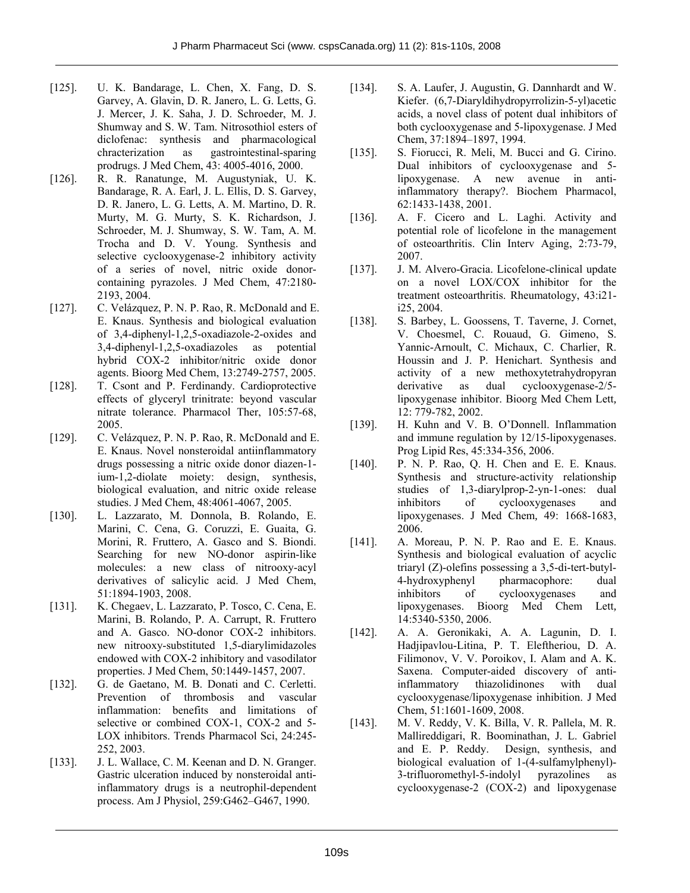- [125]. U. K. Bandarage, L. Chen, X. Fang, D. S. Garvey, A. Glavin, D. R. Janero, L. G. Letts, G. J. Mercer, J. K. Saha, J. D. Schroeder, M. J. Shumway and S. W. Tam. Nitrosothiol esters of diclofenac: synthesis and pharmacological chracterization as gastrointestinal-sparing prodrugs. J Med Chem, 43: 4005-4016, 2000.
- [126]. R. R. Ranatunge, M. Augustyniak, U. K. Bandarage, R. A. Earl, J. L. Ellis, D. S. Garvey, D. R. Janero, L. G. Letts, A. M. Martino, D. R. Murty, M. G. Murty, S. K. Richardson, J. Schroeder, M. J. Shumway, S. W. Tam, A. M. Trocha and D. V. Young. Synthesis and selective cyclooxygenase-2 inhibitory activity of a series of novel, nitric oxide donorcontaining pyrazoles. J Med Chem, 47:2180- 2193, 2004.
- [127]. C. Velázquez, P. N. P. Rao, R. McDonald and E. E. Knaus. Synthesis and biological evaluation of 3,4-diphenyl-1,2,5-oxadiazole-2-oxides and 3,4-diphenyl-1,2,5-oxadiazoles as potential hybrid COX-2 inhibitor/nitric oxide donor agents. Bioorg Med Chem, 13:2749-2757, 2005.
- [128]. T. Csont and P. Ferdinandy. Cardioprotective effects of glyceryl trinitrate: beyond vascular nitrate tolerance. Pharmacol Ther, 105:57-68, 2005.
- [129]. C. Velázquez, P. N. P. Rao, R. McDonald and E. E. Knaus. Novel nonsteroidal antiinflammatory drugs possessing a nitric oxide donor diazen-1 ium-1,2-diolate moiety: design, synthesis, biological evaluation, and nitric oxide release studies. J Med Chem, 48:4061-4067, 2005.
- [130]. L. Lazzarato, M. Donnola, B. Rolando, E. Marini, C. Cena, G. Coruzzi, E. Guaita, G. Morini, R. Fruttero, A. Gasco and S. Biondi. Searching for new NO-donor aspirin-like molecules: a new class of nitrooxy-acyl derivatives of salicylic acid. J Med Chem, 51:1894-1903, 2008.
- [131]. K. Chegaev, L. Lazzarato, P. Tosco, C. Cena, E. Marini, B. Rolando, P. A. Carrupt, R. Fruttero and A. Gasco. NO-donor COX-2 inhibitors. new nitrooxy-substituted 1,5-diarylimidazoles endowed with COX-2 inhibitory and vasodilator properties. J Med Chem, 50:1449-1457, 2007.
- [132]. G. de Gaetano, M. B. Donati and C. Cerletti. Prevention of thrombosis and vascular inflammation: benefits and limitations of selective or combined COX-1, COX-2 and 5- LOX inhibitors. Trends Pharmacol Sci, 24:245- 252, 2003.
- [133]. J. L. Wallace, C. M. Keenan and D. N. Granger. Gastric ulceration induced by nonsteroidal antiinflammatory drugs is a neutrophil-dependent process. Am J Physiol, 259:G462–G467, 1990.
- [134]. S. A. Laufer, J. Augustin, G. Dannhardt and W. Kiefer. (6,7-Diaryldihydropyrrolizin-5-yl)acetic acids, a novel class of potent dual inhibitors of both cyclooxygenase and 5-lipoxygenase. J Med Chem, 37:1894–1897, 1994.
- [135]. S. Fiorucci, R. Meli, M. Bucci and G. Cirino. Dual inhibitors of cyclooxygenase and 5 lipoxygenase. A new avenue in antiinflammatory therapy?. Biochem Pharmacol, 62:1433-1438, 2001.
- [136]. A. F. Cicero and L. Laghi. Activity and potential role of licofelone in the management of osteoarthritis. Clin Interv Aging, 2:73-79, 2007.
- [137]. J. M. Alvero-Gracia. Licofelone-clinical update on a novel LOX/COX inhibitor for the treatment osteoarthritis. Rheumatology, 43:i21 i25, 2004.
- [138]. S. Barbey, L. Goossens, T. Taverne, J. Cornet, V. Choesmel, C. Rouaud, G. Gimeno, S. Yannic-Arnoult, C. Michaux, C. Charlier, R. Houssin and J. P. Henichart. Synthesis and activity of a new methoxytetrahydropyran derivative as dual cyclooxygenase-2/5 lipoxygenase inhibitor. Bioorg Med Chem Lett*,*  12: 779-782, 2002.
- [139]. H. Kuhn and V. B. O'Donnell. Inflammation and immune regulation by 12/15-lipoxygenases. Prog Lipid Res, 45:334-356, 2006.
- [140]. P. N. P. Rao, Q. H. Chen and E. E. Knaus. Synthesis and structure-activity relationship studies of 1,3-diarylprop-2-yn-1-ones: dual inhibitors of cyclooxygenases and lipoxygenases. J Med Chem*,* 49: 1668-1683, 2006.
- [141]. A. Moreau, P. N. P. Rao and E. E. Knaus. Synthesis and biological evaluation of acyclic triaryl (Z)-olefins possessing a 3,5-di-tert-butyl-4-hydroxyphenyl pharmacophore: dual inhibitors of cyclooxygenases and lipoxygenases. Bioorg Med Chem Lett*,*  14:5340-5350, 2006.
- [142]. A. A. Geronikaki, A. A. Lagunin, D. I. Hadjipavlou-Litina, P. T. Eleftheriou, D. A. Filimonov, V. V. Poroikov, I. Alam and A. K. Saxena. Computer-aided discovery of antiinflammatory thiazolidinones with dual cyclooxygenase/lipoxygenase inhibition. J Med Chem, 51:1601-1609, 2008.
- [143]. M. V. Reddy, V. K. Billa, V. R. Pallela, M. R. Mallireddigari, R. Boominathan, J. L. Gabriel and E. P. Reddy. Design, synthesis, and biological evaluation of 1-(4-sulfamylphenyl)- 3-trifluoromethyl-5-indolyl pyrazolines as cyclooxygenase-2 (COX-2) and lipoxygenase